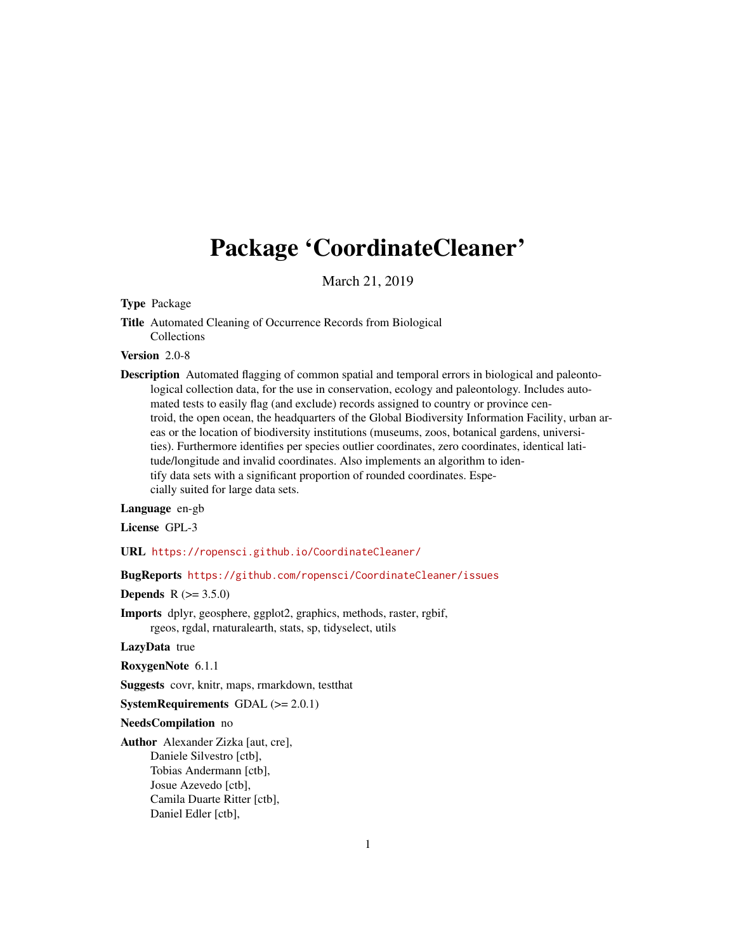# Package 'CoordinateCleaner'

March 21, 2019

# Type Package

Title Automated Cleaning of Occurrence Records from Biological Collections

# Version 2.0-8

Description Automated flagging of common spatial and temporal errors in biological and paleontological collection data, for the use in conservation, ecology and paleontology. Includes automated tests to easily flag (and exclude) records assigned to country or province centroid, the open ocean, the headquarters of the Global Biodiversity Information Facility, urban areas or the location of biodiversity institutions (museums, zoos, botanical gardens, universities). Furthermore identifies per species outlier coordinates, zero coordinates, identical latitude/longitude and invalid coordinates. Also implements an algorithm to identify data sets with a significant proportion of rounded coordinates. Especially suited for large data sets.

# Language en-gb

License GPL-3

URL <https://ropensci.github.io/CoordinateCleaner/>

# BugReports <https://github.com/ropensci/CoordinateCleaner/issues>

# **Depends** R  $(>= 3.5.0)$

Imports dplyr, geosphere, ggplot2, graphics, methods, raster, rgbif, rgeos, rgdal, rnaturalearth, stats, sp, tidyselect, utils

#### LazyData true

RoxygenNote 6.1.1

Suggests covr, knitr, maps, rmarkdown, testthat

**SystemRequirements** GDAL  $(>= 2.0.1)$ 

#### NeedsCompilation no

Author Alexander Zizka [aut, cre], Daniele Silvestro [ctb], Tobias Andermann [ctb], Josue Azevedo [ctb], Camila Duarte Ritter [ctb], Daniel Edler [ctb],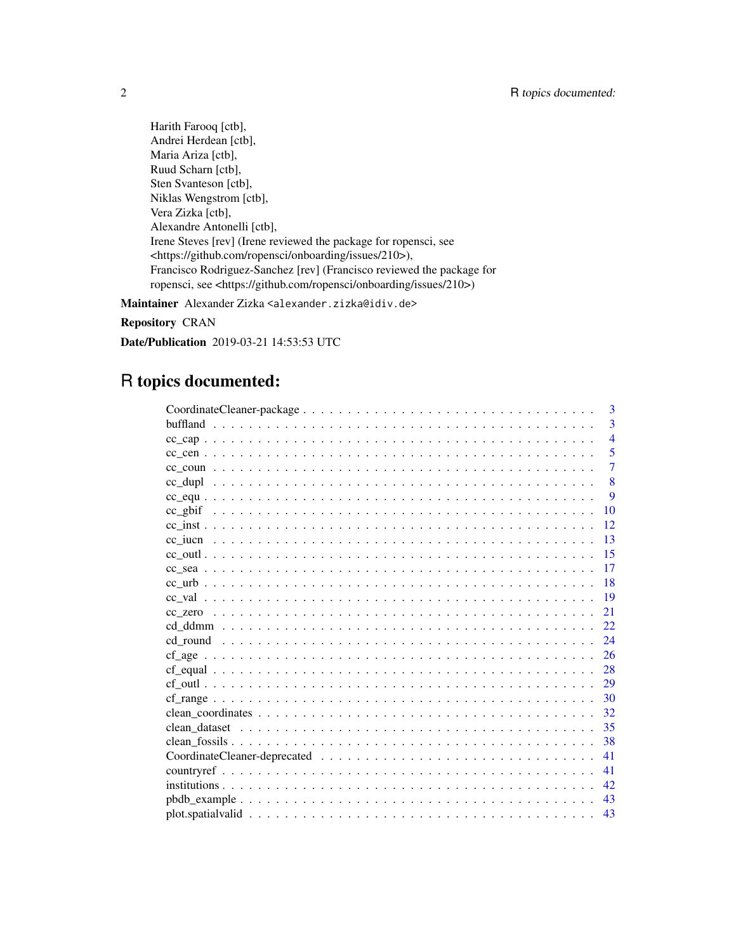Harith Farooq [ctb], Andrei Herdean [ctb], Maria Ariza [ctb], Ruud Scharn [ctb], Sten Svanteson [ctb], Niklas Wengstrom [ctb], Vera Zizka [ctb], Alexandre Antonelli [ctb], Irene Steves [rev] (Irene reviewed the package for ropensci, see <https://github.com/ropensci/onboarding/issues/210>), Francisco Rodriguez-Sanchez [rev] (Francisco reviewed the package for ropensci, see <https://github.com/ropensci/onboarding/issues/210>)

Maintainer Alexander Zizka <alexander.zizka@idiv.de>

Repository CRAN

Date/Publication 2019-03-21 14:53:53 UTC

# R topics documented:

| 3              |
|----------------|
| $\overline{3}$ |
| $\overline{4}$ |
| 5              |
| $\overline{7}$ |
| 8              |
| 9              |
| 10             |
| 12             |
| 13             |
| 15             |
| 17             |
| 18             |
| 19             |
| 21             |
| 22             |
| 24             |
| 26             |
| 28             |
| 29             |
| 30             |
| 32             |
| 35             |
| 38             |
| 41             |
| 41             |
| 42             |
| 43             |
| 43             |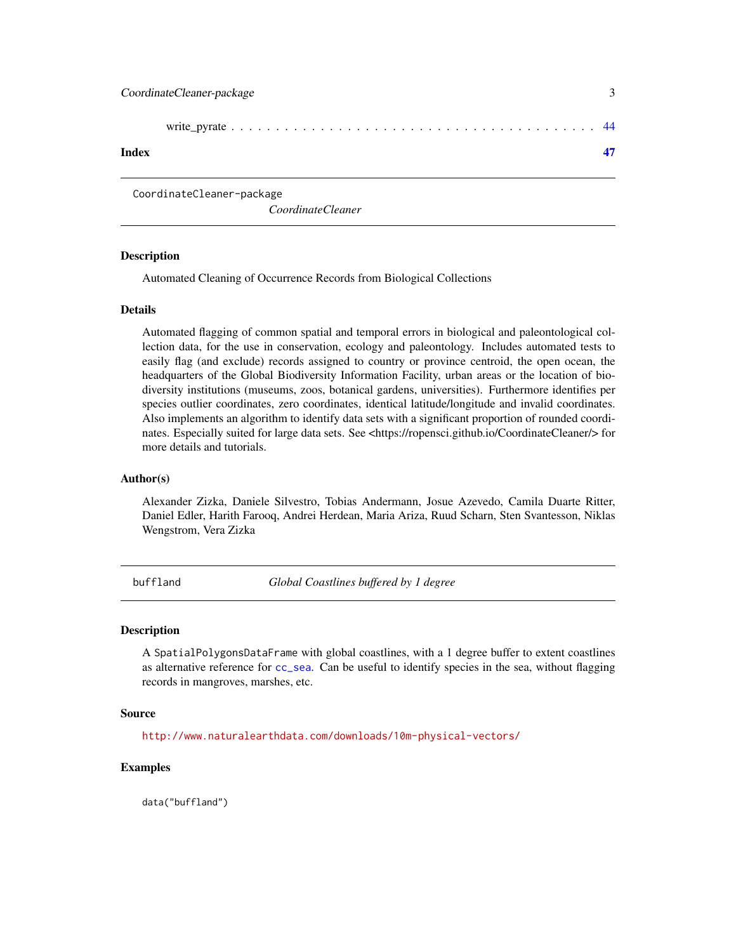<span id="page-2-0"></span>CoordinateCleaner-package

*CoordinateCleaner*

### Description

Automated Cleaning of Occurrence Records from Biological Collections

#### Details

Automated flagging of common spatial and temporal errors in biological and paleontological collection data, for the use in conservation, ecology and paleontology. Includes automated tests to easily flag (and exclude) records assigned to country or province centroid, the open ocean, the headquarters of the Global Biodiversity Information Facility, urban areas or the location of biodiversity institutions (museums, zoos, botanical gardens, universities). Furthermore identifies per species outlier coordinates, zero coordinates, identical latitude/longitude and invalid coordinates. Also implements an algorithm to identify data sets with a significant proportion of rounded coordinates. Especially suited for large data sets. See <https://ropensci.github.io/CoordinateCleaner/> for more details and tutorials.

#### Author(s)

Alexander Zizka, Daniele Silvestro, Tobias Andermann, Josue Azevedo, Camila Duarte Ritter, Daniel Edler, Harith Farooq, Andrei Herdean, Maria Ariza, Ruud Scharn, Sten Svantesson, Niklas Wengstrom, Vera Zizka

<span id="page-2-1"></span>buffland *Global Coastlines buffered by 1 degree*

#### Description

A SpatialPolygonsDataFrame with global coastlines, with a 1 degree buffer to extent coastlines as alternative reference for [cc\\_sea](#page-16-1). Can be useful to identify species in the sea, without flagging records in mangroves, marshes, etc.

#### Source

<http://www.naturalearthdata.com/downloads/10m-physical-vectors/>

# Examples

data("buffland")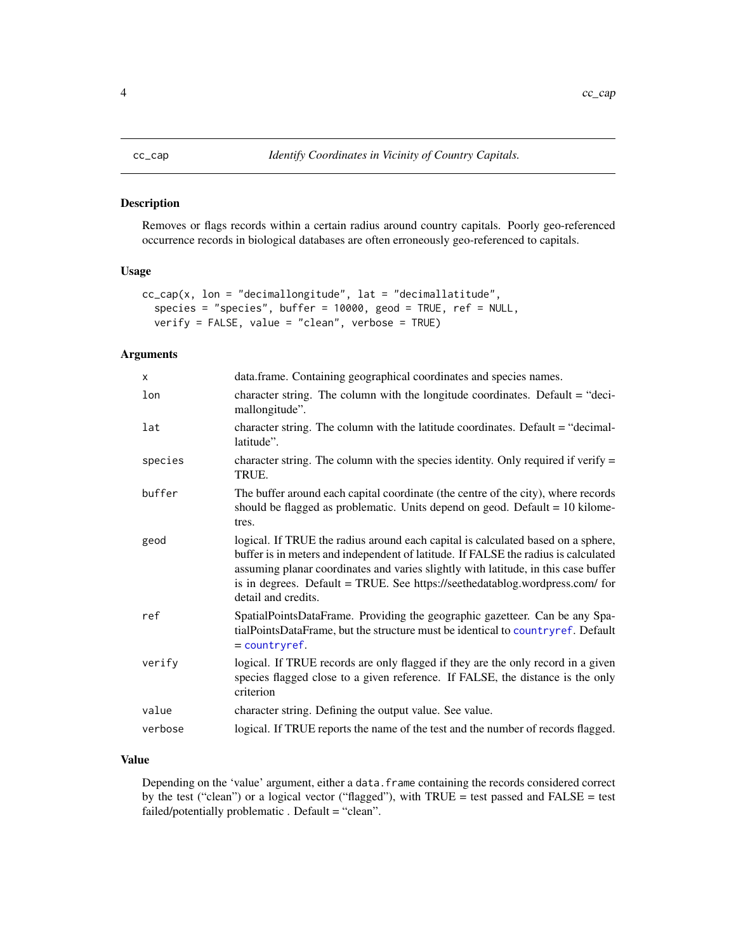<span id="page-3-1"></span><span id="page-3-0"></span>Removes or flags records within a certain radius around country capitals. Poorly geo-referenced occurrence records in biological databases are often erroneously geo-referenced to capitals.

# Usage

```
cc_{cap}(x, \text{lon} = "decimallongitude", \text{lat} = "decimal lattice",species = "species", buffer = 10000, geod = TRUE, ref = NULL,
  verify = FALSE, value = "clean", verbose = TRUE)
```
# Arguments

| $\mathsf{x}$ | data.frame. Containing geographical coordinates and species names.                                                                                                                                                                                                                                                                                                  |
|--------------|---------------------------------------------------------------------------------------------------------------------------------------------------------------------------------------------------------------------------------------------------------------------------------------------------------------------------------------------------------------------|
| lon          | character string. The column with the longitude coordinates. Default = "deci-<br>mallongitude".                                                                                                                                                                                                                                                                     |
| lat          | character string. The column with the latitude coordinates. Default $=$ "decimal-<br>latitude".                                                                                                                                                                                                                                                                     |
| species      | character string. The column with the species identity. Only required if verify $=$<br>TRUE.                                                                                                                                                                                                                                                                        |
| buffer       | The buffer around each capital coordinate (the centre of the city), where records<br>should be flagged as problematic. Units depend on geod. Default $= 10$ kilome-<br>tres.                                                                                                                                                                                        |
| geod         | logical. If TRUE the radius around each capital is calculated based on a sphere,<br>buffer is in meters and independent of latitude. If FALSE the radius is calculated<br>assuming planar coordinates and varies slightly with latitude, in this case buffer<br>is in degrees. Default = TRUE. See https://seethedatablog.wordpress.com/ for<br>detail and credits. |
| ref          | SpatialPointsDataFrame. Providing the geographic gazetteer. Can be any Spa-<br>tialPointsDataFrame, but the structure must be identical to countryref. Default<br>$=$ countryref.                                                                                                                                                                                   |
| verify       | logical. If TRUE records are only flagged if they are the only record in a given<br>species flagged close to a given reference. If FALSE, the distance is the only<br>criterion                                                                                                                                                                                     |
| value        | character string. Defining the output value. See value.                                                                                                                                                                                                                                                                                                             |
| verbose      | logical. If TRUE reports the name of the test and the number of records flagged.                                                                                                                                                                                                                                                                                    |

# Value

Depending on the 'value' argument, either a data.frame containing the records considered correct by the test ("clean") or a logical vector ("flagged"), with TRUE = test passed and FALSE = test failed/potentially problematic . Default = "clean".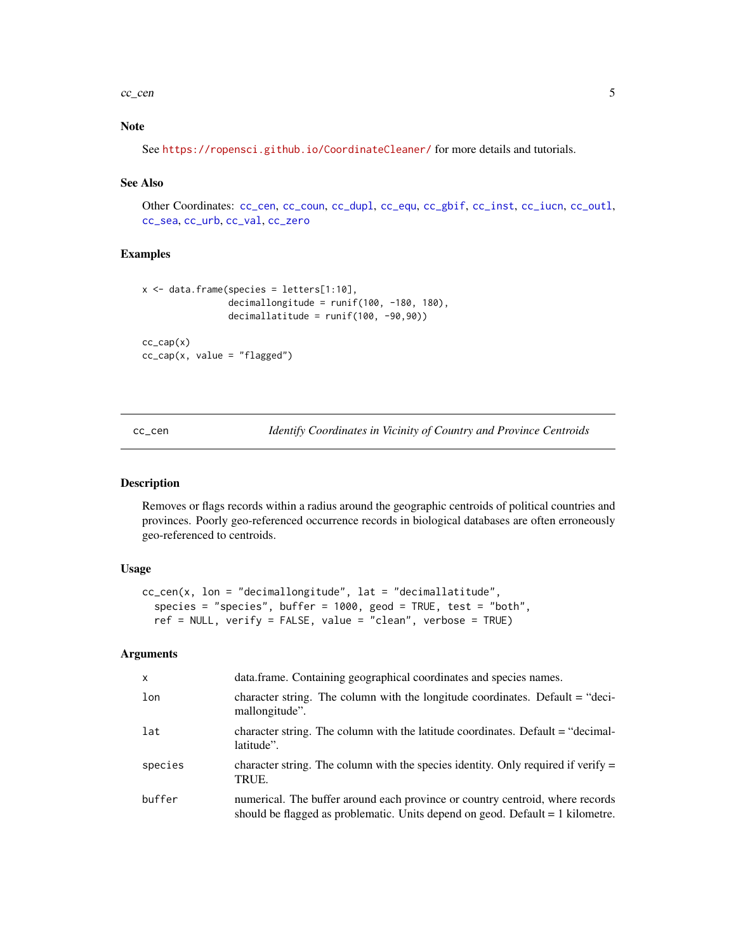#### <span id="page-4-0"></span> $cc_{\text{c}}$  cc<sub>l</sub> cen 5

# Note

See <https://ropensci.github.io/CoordinateCleaner/> for more details and tutorials.

# See Also

Other Coordinates: [cc\\_cen](#page-4-1), [cc\\_coun](#page-6-1), [cc\\_dupl](#page-7-1), [cc\\_equ](#page-8-1), [cc\\_gbif](#page-9-1), [cc\\_inst](#page-11-1), [cc\\_iucn](#page-12-1), [cc\\_outl](#page-14-1), [cc\\_sea](#page-16-1), [cc\\_urb](#page-17-1), [cc\\_val](#page-18-1), [cc\\_zero](#page-20-1)

#### Examples

```
x <- data.frame(species = letters[1:10],
                decimallongitude = runif(100, -180, 180),
                decimallatitude = runif(100, -90,90))
cc_{cap}(x)cc_cap(x, value = "flagged")
```
<span id="page-4-1"></span>cc\_cen *Identify Coordinates in Vicinity of Country and Province Centroids*

# Description

Removes or flags records within a radius around the geographic centroids of political countries and provinces. Poorly geo-referenced occurrence records in biological databases are often erroneously geo-referenced to centroids.

# Usage

```
cc_cen(x, lon = "decimallongitude", lat = "decimallatitude",
  species = "species", buffer = 1000, geod = TRUE, test = "both",
  ref = NULL, verify = FALSE, value = "clean", verbose = TRUE)
```

| $\mathsf{x}$ | data.frame. Containing geographical coordinates and species names.                                                                                                |
|--------------|-------------------------------------------------------------------------------------------------------------------------------------------------------------------|
| lon          | character string. The column with the longitude coordinates. Default $=$ "deci-<br>mallongitude".                                                                 |
| lat          | character string. The column with the latitude coordinates. Default = "decimal-<br>latitude".                                                                     |
| species      | character string. The column with the species identity. Only required if verify $=$<br>TRUE.                                                                      |
| buffer       | numerical. The buffer around each province or country centroid, where records<br>should be flagged as problematic. Units depend on geod. Default $= 1$ kilometre. |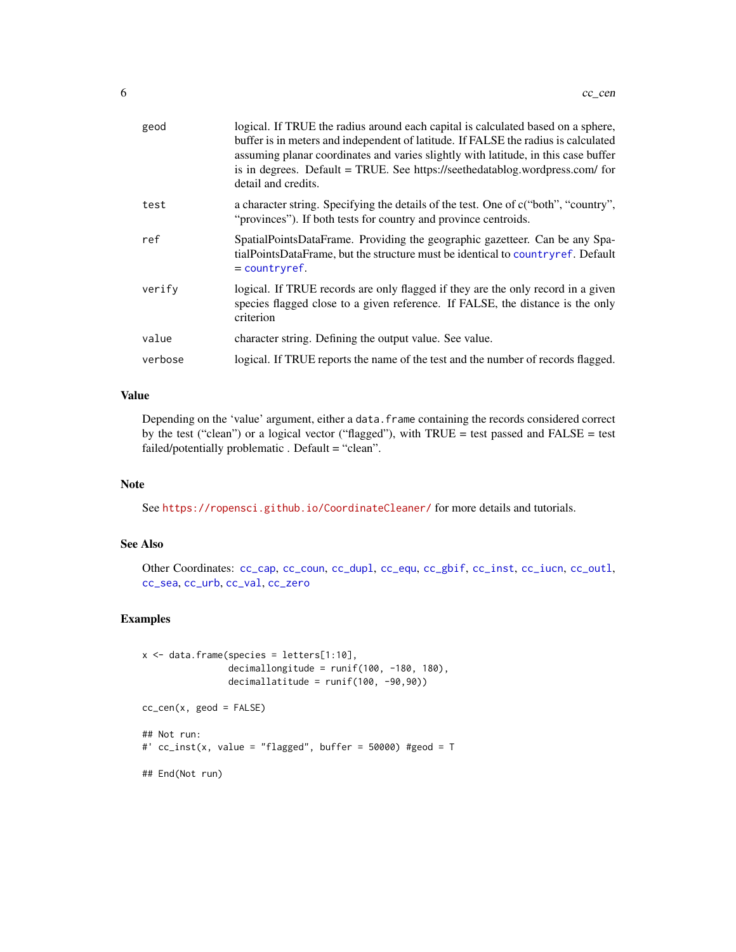<span id="page-5-0"></span>

| geod    | logical. If TRUE the radius around each capital is calculated based on a sphere,<br>buffer is in meters and independent of latitude. If FALSE the radius is calculated<br>assuming planar coordinates and varies slightly with latitude, in this case buffer<br>is in degrees. Default = TRUE. See https://seethedatablog.wordpress.com/ for<br>detail and credits. |
|---------|---------------------------------------------------------------------------------------------------------------------------------------------------------------------------------------------------------------------------------------------------------------------------------------------------------------------------------------------------------------------|
| test    | a character string. Specifying the details of the test. One of c("both", "country",<br>"provinces"). If both tests for country and province centroids.                                                                                                                                                                                                              |
| ref     | SpatialPointsDataFrame. Providing the geographic gazetteer. Can be any Spa-<br>tialPointsDataFrame, but the structure must be identical to country ref. Default<br>$=$ countryref.                                                                                                                                                                                  |
| verify  | logical. If TRUE records are only flagged if they are the only record in a given<br>species flagged close to a given reference. If FALSE, the distance is the only<br>criterion                                                                                                                                                                                     |
| value   | character string. Defining the output value. See value.                                                                                                                                                                                                                                                                                                             |
| verbose | logical. If TRUE reports the name of the test and the number of records flagged.                                                                                                                                                                                                                                                                                    |
|         |                                                                                                                                                                                                                                                                                                                                                                     |

# Value

Depending on the 'value' argument, either a data.frame containing the records considered correct by the test ("clean") or a logical vector ("flagged"), with TRUE = test passed and FALSE = test failed/potentially problematic . Default = "clean".

# Note

See <https://ropensci.github.io/CoordinateCleaner/> for more details and tutorials.

# See Also

Other Coordinates: [cc\\_cap](#page-3-1), [cc\\_coun](#page-6-1), [cc\\_dupl](#page-7-1), [cc\\_equ](#page-8-1), [cc\\_gbif](#page-9-1), [cc\\_inst](#page-11-1), [cc\\_iucn](#page-12-1), [cc\\_outl](#page-14-1), [cc\\_sea](#page-16-1), [cc\\_urb](#page-17-1), [cc\\_val](#page-18-1), [cc\\_zero](#page-20-1)

```
x \le - data.frame(species = letters[1:10],
                decimallongitude = runif(100, -180, 180),
                decimallatitude = runif(100, -90,90))
cc_cen(x, geod = FALSE)
## Not run:
#' cc_inst(x, value = "flagged", buffer = 50000) #geod = T
## End(Not run)
```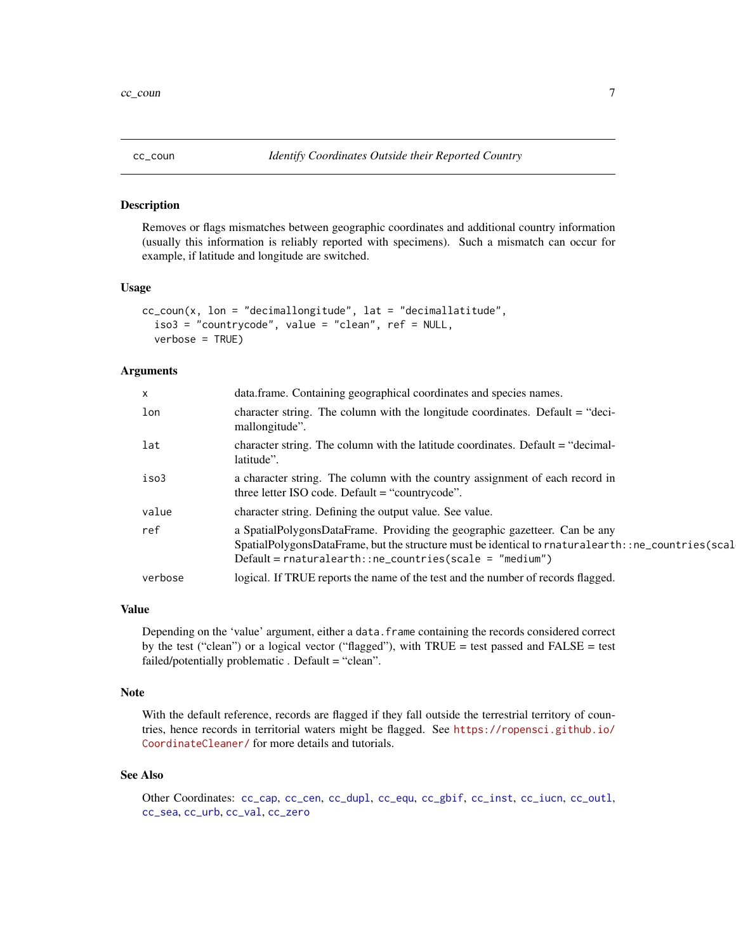<span id="page-6-1"></span><span id="page-6-0"></span>

Removes or flags mismatches between geographic coordinates and additional country information (usually this information is reliably reported with specimens). Such a mismatch can occur for example, if latitude and longitude are switched.

#### Usage

```
cc_coun(x, lon = "decimallongitude", lat = "decimallatitude",
  iso3 = "countrycode", value = "clean", ref = NULL,
  verbose = TRUE)
```
#### Arguments

| $\times$ | data.frame. Containing geographical coordinates and species names.                                                                                                                                                                        |
|----------|-------------------------------------------------------------------------------------------------------------------------------------------------------------------------------------------------------------------------------------------|
| lon      | character string. The column with the longitude coordinates. Default $=$ "deci-<br>mallongitude".                                                                                                                                         |
| lat      | character string. The column with the latitude coordinates. Default = "decimal-<br>latitude".                                                                                                                                             |
| iso3     | a character string. The column with the country assignment of each record in<br>three letter ISO code. Default $=$ "countrycode".                                                                                                         |
| value    | character string. Defining the output value. See value.                                                                                                                                                                                   |
| ref      | a SpatialPolygonsDataFrame. Providing the geographic gazetteer. Can be any<br>SpatialPolygonsDataFrame, but the structure must be identical to rnaturalearth:: ne_countries(scal<br>$Default = naturalearth::ne_counts(scale = "medium")$ |
| verbose  | logical. If TRUE reports the name of the test and the number of records flagged.                                                                                                                                                          |

# Value

Depending on the 'value' argument, either a data.frame containing the records considered correct by the test ("clean") or a logical vector ("flagged"), with  $TRUE = test$  passed and  $FALSE = test$ failed/potentially problematic . Default = "clean".

#### Note

With the default reference, records are flagged if they fall outside the terrestrial territory of countries, hence records in territorial waters might be flagged. See [https://ropensci.github.io/](https://ropensci.github.io/CoordinateCleaner/) [CoordinateCleaner/](https://ropensci.github.io/CoordinateCleaner/) for more details and tutorials.

# See Also

Other Coordinates: [cc\\_cap](#page-3-1), [cc\\_cen](#page-4-1), [cc\\_dupl](#page-7-1), [cc\\_equ](#page-8-1), [cc\\_gbif](#page-9-1), [cc\\_inst](#page-11-1), [cc\\_iucn](#page-12-1), [cc\\_outl](#page-14-1), [cc\\_sea](#page-16-1), [cc\\_urb](#page-17-1), [cc\\_val](#page-18-1), [cc\\_zero](#page-20-1)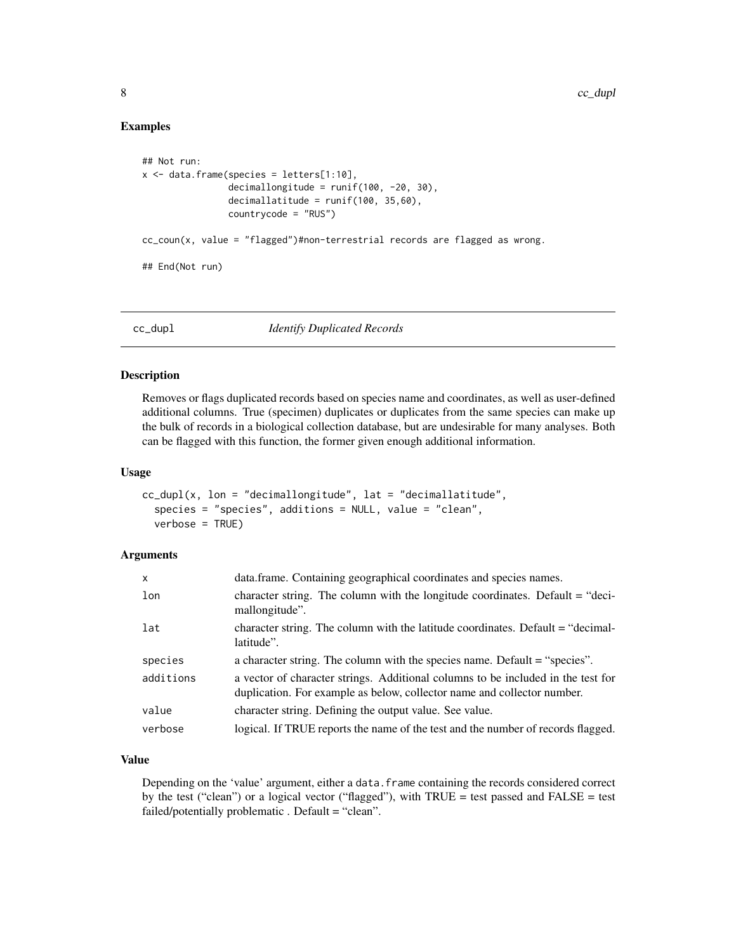#### Examples

```
## Not run:
x \le - data.frame(species = letters[1:10],
                decimallongitude = runif(100, -20, 30),
                decimallatitude = runif(100, 35,60),
                countrycode = "RUS")
cc_coun(x, value = "flagged")#non-terrestrial records are flagged as wrong.
## End(Not run)
```
<span id="page-7-1"></span>

cc\_dupl *Identify Duplicated Records*

# Description

Removes or flags duplicated records based on species name and coordinates, as well as user-defined additional columns. True (specimen) duplicates or duplicates from the same species can make up the bulk of records in a biological collection database, but are undesirable for many analyses. Both can be flagged with this function, the former given enough additional information.

#### Usage

```
cc_dupl(x, \text{lon} = "decimallongitude", \text{lat} = "decimallatitude",species = "species", additions = NULL, value = "clean",
  verbose = TRUE)
```
# Arguments

| $\mathsf{x}$ | data.frame. Containing geographical coordinates and species names.                                                                                          |
|--------------|-------------------------------------------------------------------------------------------------------------------------------------------------------------|
| lon          | character string. The column with the longitude coordinates. Default = "deci-<br>mallongitude".                                                             |
| lat          | character string. The column with the latitude coordinates. Default = "decimal-<br>latitude".                                                               |
| species      | a character string. The column with the species name. Default = "species".                                                                                  |
| additions    | a vector of character strings. Additional columns to be included in the test for<br>duplication. For example as below, collector name and collector number. |
| value        | character string. Defining the output value. See value.                                                                                                     |
| verbose      | logical. If TRUE reports the name of the test and the number of records flagged.                                                                            |

# Value

Depending on the 'value' argument, either a data.frame containing the records considered correct by the test ("clean") or a logical vector ("flagged"), with TRUE = test passed and FALSE = test failed/potentially problematic . Default = "clean".

<span id="page-7-0"></span>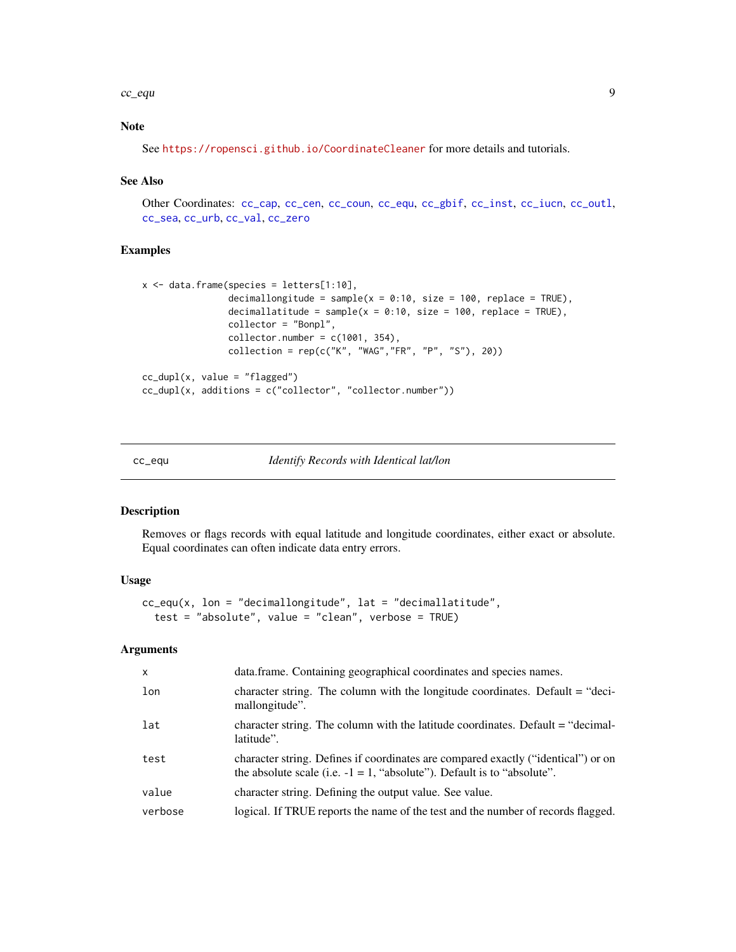#### <span id="page-8-0"></span> $cc$ \_equ  $\qquad \qquad \qquad 9$

# Note

See <https://ropensci.github.io/CoordinateCleaner> for more details and tutorials.

#### See Also

Other Coordinates: [cc\\_cap](#page-3-1), [cc\\_cen](#page-4-1), [cc\\_coun](#page-6-1), [cc\\_equ](#page-8-1), [cc\\_gbif](#page-9-1), [cc\\_inst](#page-11-1), [cc\\_iucn](#page-12-1), [cc\\_outl](#page-14-1), [cc\\_sea](#page-16-1), [cc\\_urb](#page-17-1), [cc\\_val](#page-18-1), [cc\\_zero](#page-20-1)

# Examples

```
x \le - data.frame(species = letters[1:10],
                decimallongitude = sample(x = 0:10, size = 100, replace = TRUE),
                decimallatitude = sample(x = 0:10, size = 100, replace = TRUE),
                collector = "Bonpl",
                collector_number = c(1001, 354),
                collection = rep(c("K", "WAG", "FR", "P", "S"), 20))cc_dupl(x, value = "flagged")cc_dupl(x, additions = c("collector", "collector.number"))
```
<span id="page-8-1"></span>cc\_equ *Identify Records with Identical lat/lon*

#### Description

Removes or flags records with equal latitude and longitude coordinates, either exact or absolute. Equal coordinates can often indicate data entry errors.

#### Usage

```
cc_{\text{eq}}(x, \text{lon} = "decimallongitude", \text{lat} = "decimalulate",test = "absolute", value = "clean", verbose = TRUE)
```

| $\mathsf{x}$ | data.frame. Containing geographical coordinates and species names.                                                                                              |
|--------------|-----------------------------------------------------------------------------------------------------------------------------------------------------------------|
| lon          | character string. The column with the longitude coordinates. Default = "deci-<br>mallongitude".                                                                 |
| lat          | character string. The column with the latitude coordinates. Default = "decimal-<br>latitude".                                                                   |
| test         | character string. Defines if coordinates are compared exactly ("identical") or on<br>the absolute scale (i.e. $-1 = 1$ , "absolute"). Default is to "absolute". |
| value        | character string. Defining the output value. See value.                                                                                                         |
| verbose      | logical. If TRUE reports the name of the test and the number of records flagged.                                                                                |
|              |                                                                                                                                                                 |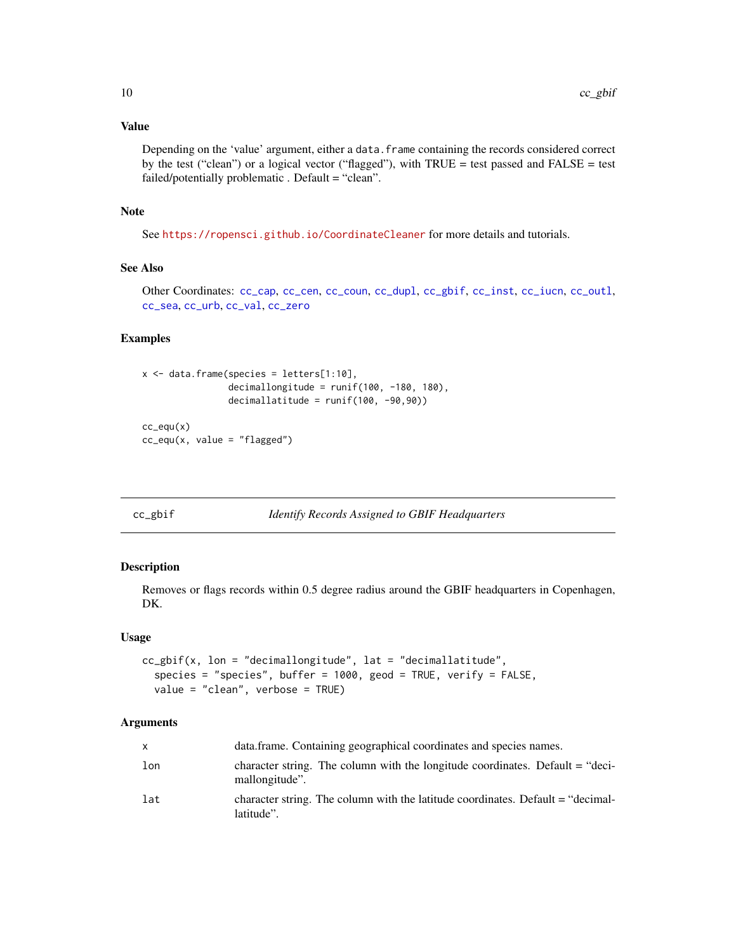# <span id="page-9-0"></span>Value

Depending on the 'value' argument, either a data.frame containing the records considered correct by the test ("clean") or a logical vector ("flagged"), with TRUE = test passed and FALSE = test failed/potentially problematic . Default = "clean".

# Note

See <https://ropensci.github.io/CoordinateCleaner> for more details and tutorials.

# See Also

Other Coordinates: [cc\\_cap](#page-3-1), [cc\\_cen](#page-4-1), [cc\\_coun](#page-6-1), [cc\\_dupl](#page-7-1), [cc\\_gbif](#page-9-1), [cc\\_inst](#page-11-1), [cc\\_iucn](#page-12-1), [cc\\_outl](#page-14-1), [cc\\_sea](#page-16-1), [cc\\_urb](#page-17-1), [cc\\_val](#page-18-1), [cc\\_zero](#page-20-1)

#### Examples

```
x \le - data.frame(species = letters[1:10],
                decimallongitude = runif(100, -180, 180),
                decimallatitude = runif(100, -90, 90))cc_equ(x)
cc_equ(x, value = "flagged")
```
<span id="page-9-1"></span>cc\_gbif *Identify Records Assigned to GBIF Headquarters*

# Description

Removes or flags records within 0.5 degree radius around the GBIF headquarters in Copenhagen, DK.

#### Usage

```
cc_gbif(x, lon = "decimallongitude", lat = "decimallatitude",
  species = "species", buffer = 1000, geod = TRUE, verify = FALSE,
  value = "clean", verbose = TRUE)
```

| X   | data.frame. Containing geographical coordinates and species names.                              |
|-----|-------------------------------------------------------------------------------------------------|
| lon | character string. The column with the longitude coordinates. Default = "deci-<br>mallongitude". |
| lat | character string. The column with the latitude coordinates. Default $=$ "decimal-<br>latitude". |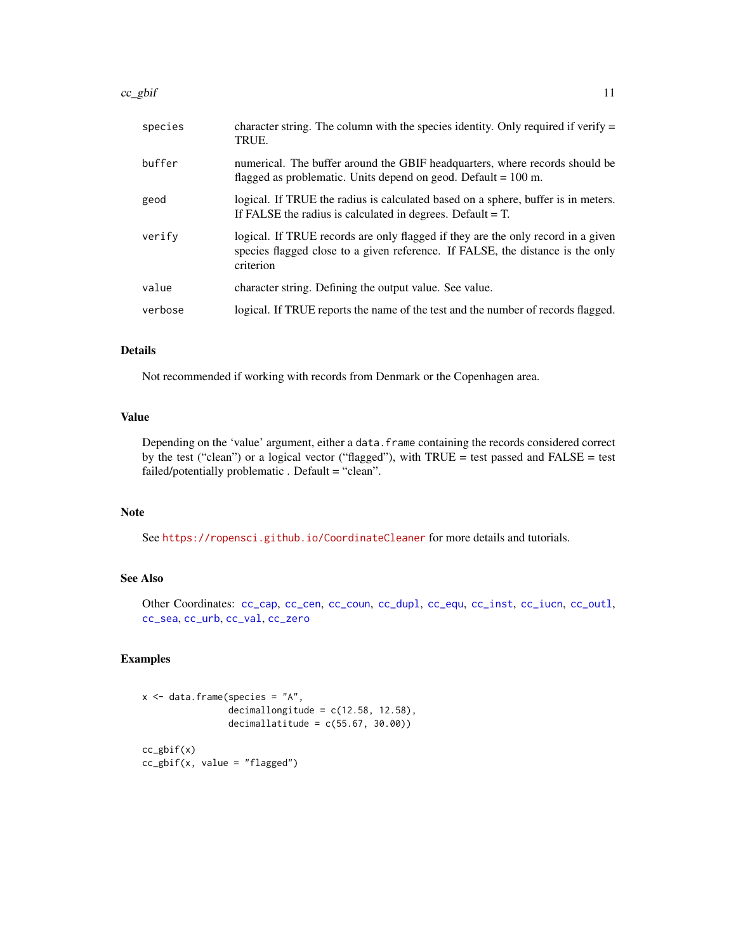<span id="page-10-0"></span>

| species | character string. The column with the species identity. Only required if verify $=$<br>TRUE.                                                                                    |
|---------|---------------------------------------------------------------------------------------------------------------------------------------------------------------------------------|
| buffer  | numerical. The buffer around the GBIF headquarters, where records should be<br>flagged as problematic. Units depend on geod. Default = $100$ m.                                 |
| geod    | logical. If TRUE the radius is calculated based on a sphere, buffer is in meters.<br>If FALSE the radius is calculated in degrees. Default $=$ T.                               |
| verify  | logical. If TRUE records are only flagged if they are the only record in a given<br>species flagged close to a given reference. If FALSE, the distance is the only<br>criterion |
| value   | character string. Defining the output value. See value.                                                                                                                         |
| verbose | logical. If TRUE reports the name of the test and the number of records flagged.                                                                                                |
|         |                                                                                                                                                                                 |

# Details

Not recommended if working with records from Denmark or the Copenhagen area.

# Value

Depending on the 'value' argument, either a data.frame containing the records considered correct by the test ("clean") or a logical vector ("flagged"), with TRUE = test passed and FALSE = test failed/potentially problematic . Default = "clean".

# Note

See <https://ropensci.github.io/CoordinateCleaner> for more details and tutorials.

# See Also

Other Coordinates: [cc\\_cap](#page-3-1), [cc\\_cen](#page-4-1), [cc\\_coun](#page-6-1), [cc\\_dupl](#page-7-1), [cc\\_equ](#page-8-1), [cc\\_inst](#page-11-1), [cc\\_iucn](#page-12-1), [cc\\_outl](#page-14-1), [cc\\_sea](#page-16-1), [cc\\_urb](#page-17-1), [cc\\_val](#page-18-1), [cc\\_zero](#page-20-1)

```
x \le - data.frame(species = "A",
                 decimallongitude = c(12.58, 12.58),
                 decimallatitude = c(55.67, 30.00))
cc\_g\text{bif}(x)cc_gbif(x, value = "flagged")
```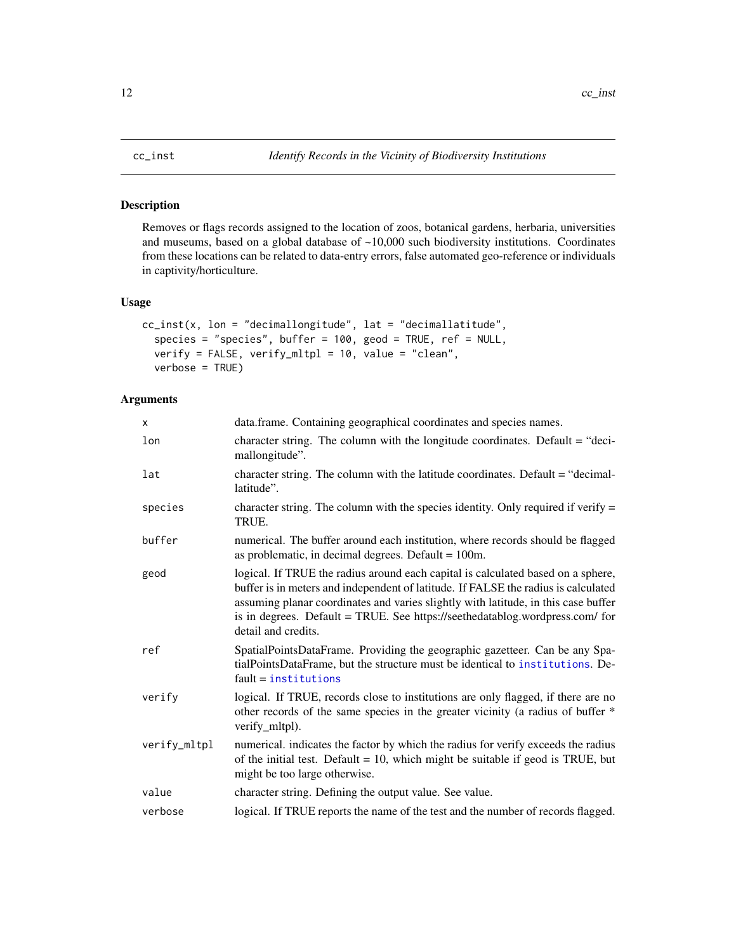<span id="page-11-1"></span><span id="page-11-0"></span>

Removes or flags records assigned to the location of zoos, botanical gardens, herbaria, universities and museums, based on a global database of ~10,000 such biodiversity institutions. Coordinates from these locations can be related to data-entry errors, false automated geo-reference or individuals in captivity/horticulture.

# Usage

```
cc_inst(x, lon = "decimallongitude", lat = "decimallatitude",
  species = "species", buffer = 100, geod = TRUE, ref = NULL,
  verify = FALSE, verify_mltpl = 10, value = "clean",
  verbose = TRUE)
```

| X            | data.frame. Containing geographical coordinates and species names.                                                                                                                                                                                                                                                                                                  |
|--------------|---------------------------------------------------------------------------------------------------------------------------------------------------------------------------------------------------------------------------------------------------------------------------------------------------------------------------------------------------------------------|
| lon          | character string. The column with the longitude coordinates. Default = "deci-<br>mallongitude".                                                                                                                                                                                                                                                                     |
| lat          | character string. The column with the latitude coordinates. Default $=$ "decimal-<br>latitude".                                                                                                                                                                                                                                                                     |
| species      | character string. The column with the species identity. Only required if verify $=$<br>TRUE.                                                                                                                                                                                                                                                                        |
| buffer       | numerical. The buffer around each institution, where records should be flagged<br>as problematic, in decimal degrees. Default $= 100$ m.                                                                                                                                                                                                                            |
| geod         | logical. If TRUE the radius around each capital is calculated based on a sphere,<br>buffer is in meters and independent of latitude. If FALSE the radius is calculated<br>assuming planar coordinates and varies slightly with latitude, in this case buffer<br>is in degrees. Default = TRUE. See https://seethedatablog.wordpress.com/ for<br>detail and credits. |
| ref          | SpatialPointsDataFrame. Providing the geographic gazetteer. Can be any Spa-<br>tialPointsDataFrame, but the structure must be identical to institutions. De-<br>$fault = institutions$                                                                                                                                                                              |
| verify       | logical. If TRUE, records close to institutions are only flagged, if there are no<br>other records of the same species in the greater vicinity (a radius of buffer *<br>verify_mltpl).                                                                                                                                                                              |
| verify_mltpl | numerical. indicates the factor by which the radius for verify exceeds the radius<br>of the initial test. Default = $10$ , which might be suitable if geod is TRUE, but<br>might be too large otherwise.                                                                                                                                                            |
| value        | character string. Defining the output value. See value.                                                                                                                                                                                                                                                                                                             |
| verbose      | logical. If TRUE reports the name of the test and the number of records flagged.                                                                                                                                                                                                                                                                                    |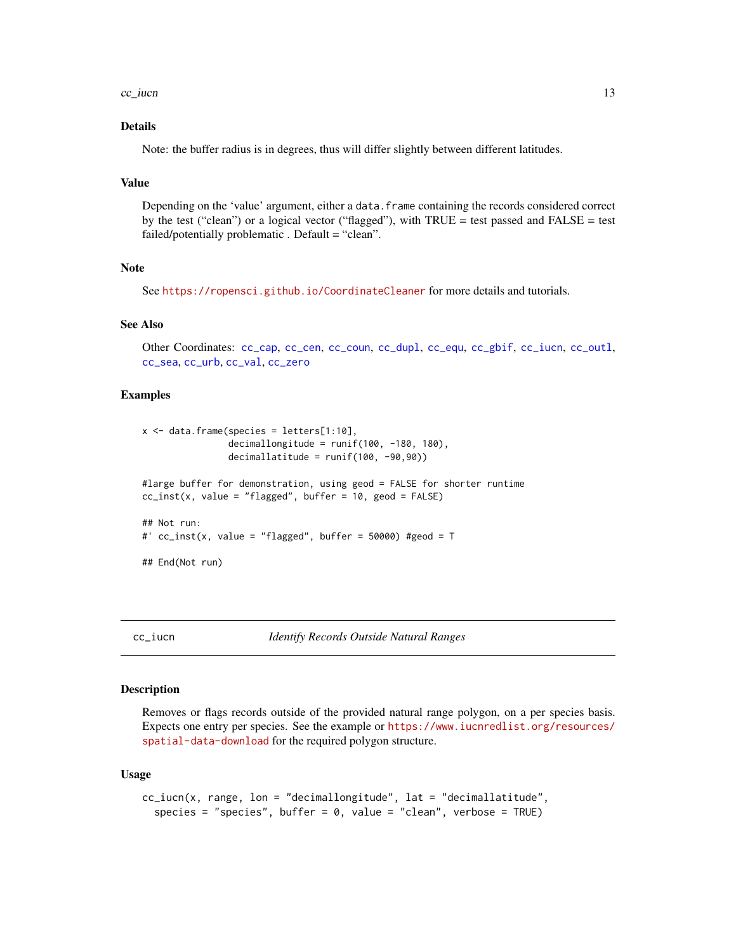#### <span id="page-12-0"></span> $cc\_i$ ucn  $13$

# Details

Note: the buffer radius is in degrees, thus will differ slightly between different latitudes.

#### Value

Depending on the 'value' argument, either a data. frame containing the records considered correct by the test ("clean") or a logical vector ("flagged"), with TRUE = test passed and FALSE = test failed/potentially problematic . Default = "clean".

#### Note

See <https://ropensci.github.io/CoordinateCleaner> for more details and tutorials.

# See Also

Other Coordinates: [cc\\_cap](#page-3-1), [cc\\_cen](#page-4-1), [cc\\_coun](#page-6-1), [cc\\_dupl](#page-7-1), [cc\\_equ](#page-8-1), [cc\\_gbif](#page-9-1), [cc\\_iucn](#page-12-1), [cc\\_outl](#page-14-1), [cc\\_sea](#page-16-1), [cc\\_urb](#page-17-1), [cc\\_val](#page-18-1), [cc\\_zero](#page-20-1)

#### Examples

```
x \le - data.frame(species = letters[1:10],
                decimallongitude = runif(100, -180, 180),
                decimallatitude = runif(100, -90, 90))#large buffer for demonstration, using geod = FALSE for shorter runtime
cc\_inst(x, value = "flagged", buffer = 10, geod = FALSE)## Not run:
#' cc\_inst(x, value = "flagged", buffer = 50000) #geod = T## End(Not run)
```
<span id="page-12-1"></span>

#### Description

Removes or flags records outside of the provided natural range polygon, on a per species basis. Expects one entry per species. See the example or [https://www.iucnredlist.org/resources/](https://www.iucnredlist.org/resources/spatial-data-download) [spatial-data-download](https://www.iucnredlist.org/resources/spatial-data-download) for the required polygon structure.

#### Usage

```
cc_iucn(x, range, lon = "decimallongitude", lat = "decimallatitude",
  species = "species", buffer = 0, value = "clean", verbose = TRUE)
```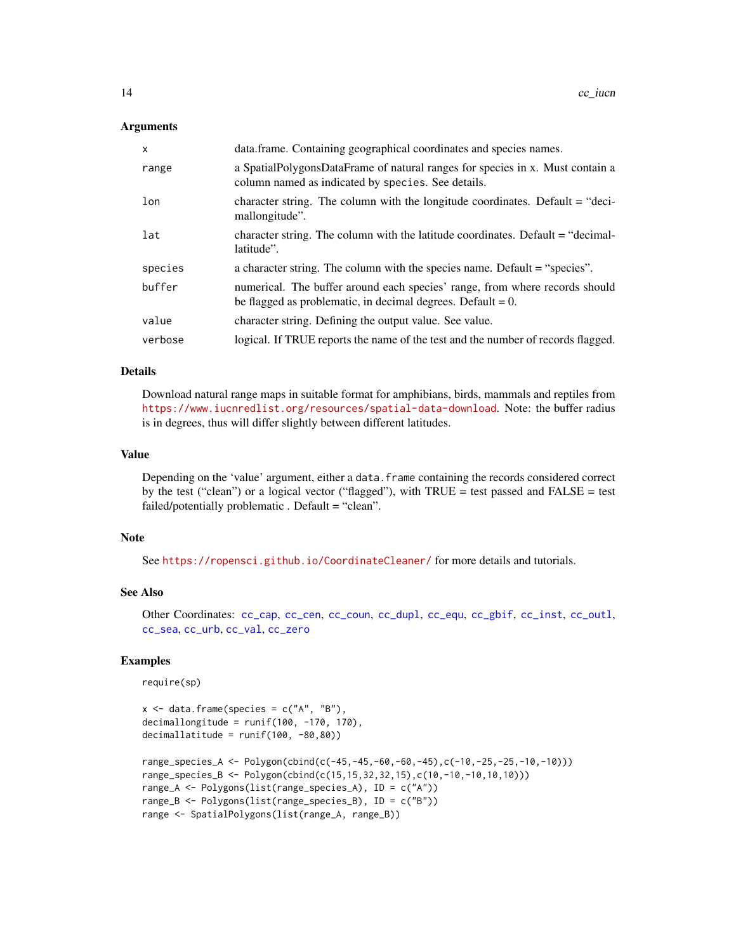# <span id="page-13-0"></span>Arguments

| $\mathsf{x}$ | data.frame. Containing geographical coordinates and species names.                                                                            |
|--------------|-----------------------------------------------------------------------------------------------------------------------------------------------|
| range        | a SpatialPolygonsDataFrame of natural ranges for species in x. Must contain a<br>column named as indicated by species. See details.           |
| lon          | character string. The column with the longitude coordinates. Default = "deci-<br>mallongitude".                                               |
| lat          | character string. The column with the latitude coordinates. Default = "decimal-<br>latitude".                                                 |
| species      | a character string. The column with the species name. Default = "species".                                                                    |
| buffer       | numerical. The buffer around each species' range, from where records should<br>be flagged as problematic, in decimal degrees. Default = $0$ . |
| value        | character string. Defining the output value. See value.                                                                                       |
| verbose      | logical. If TRUE reports the name of the test and the number of records flagged.                                                              |

# Details

Download natural range maps in suitable format for amphibians, birds, mammals and reptiles from <https://www.iucnredlist.org/resources/spatial-data-download>. Note: the buffer radius is in degrees, thus will differ slightly between different latitudes.

# Value

Depending on the 'value' argument, either a data.frame containing the records considered correct by the test ("clean") or a logical vector ("flagged"), with TRUE = test passed and FALSE = test failed/potentially problematic . Default = "clean".

# Note

See <https://ropensci.github.io/CoordinateCleaner/> for more details and tutorials.

# See Also

Other Coordinates: [cc\\_cap](#page-3-1), [cc\\_cen](#page-4-1), [cc\\_coun](#page-6-1), [cc\\_dupl](#page-7-1), [cc\\_equ](#page-8-1), [cc\\_gbif](#page-9-1), [cc\\_inst](#page-11-1), [cc\\_outl](#page-14-1), [cc\\_sea](#page-16-1), [cc\\_urb](#page-17-1), [cc\\_val](#page-18-1), [cc\\_zero](#page-20-1)

# Examples

require(sp)

```
x \le - data.frame(species = c("A", "B"),
decimallongitude = runif(100, -170, 170),
decimallatitude = runif(100, -80, 80))range_species_A <- Polygon(cbind(c(-45,-45,-60,-60,-45),c(-10,-25,-25,-10,-10)))
range_species_B <- Polygon(cbind(c(15,15,32,32,15),c(10,-10,-10,10,10)))
range_A <- Polygons(list(range_species_A), ID = c("A"))
range_B <- Polygons(list(range_species_B), ID = c("B"))
range <- SpatialPolygons(list(range_A, range_B))
```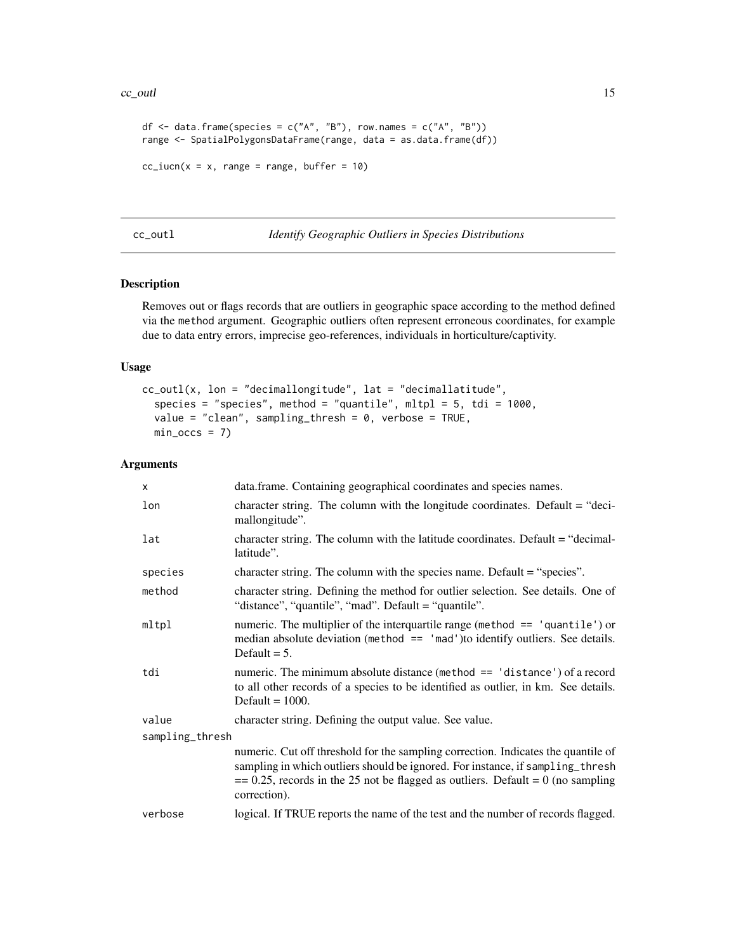#### <span id="page-14-0"></span> $cc_$ outl $15$

```
df \le data.frame(species = c("A", "B"), row.names = c("A", "B"))
range <- SpatialPolygonsDataFrame(range, data = as.data.frame(df))
cc\_iucn(x = x, range = range, buffer = 10)
```
#### <span id="page-14-1"></span>cc\_outl *Identify Geographic Outliers in Species Distributions*

# Description

Removes out or flags records that are outliers in geographic space according to the method defined via the method argument. Geographic outliers often represent erroneous coordinates, for example due to data entry errors, imprecise geo-references, individuals in horticulture/captivity.

# Usage

```
cc_outl(x, lon = "decimallongitude", lat = "decimallatitude",
  species = "species", method = "quantile", mltpl = 5, tdi = 1000,
  value = "clean", sampling_thresh = 0, verbose = TRUE,
 min\_occs = 7
```

| data.frame. Containing geographical coordinates and species names.                                                                                                                                                                                                       |  |  |
|--------------------------------------------------------------------------------------------------------------------------------------------------------------------------------------------------------------------------------------------------------------------------|--|--|
| character string. The column with the longitude coordinates. Default = "deci-<br>mallongitude".                                                                                                                                                                          |  |  |
| character string. The column with the latitude coordinates. Default $=$ "decimal-<br>latitude".                                                                                                                                                                          |  |  |
| character string. The column with the species name. Default = "species".                                                                                                                                                                                                 |  |  |
| character string. Defining the method for outlier selection. See details. One of<br>"distance", "quantile", "mad". Default = "quantile".                                                                                                                                 |  |  |
| numeric. The multiplier of the interquartile range (method $==$ 'quantile') or<br>median absolute deviation (method $==$ 'mad') to identify outliers. See details.<br>Default $= 5$ .                                                                                    |  |  |
| numeric. The minimum absolute distance (method $==$ 'distance') of a record<br>to all other records of a species to be identified as outlier, in km. See details.<br>Default $= 1000$ .                                                                                  |  |  |
| character string. Defining the output value. See value.                                                                                                                                                                                                                  |  |  |
| sampling_thresh                                                                                                                                                                                                                                                          |  |  |
| numeric. Cut off threshold for the sampling correction. Indicates the quantile of<br>sampling in which outliers should be ignored. For instance, if sampling_thresh<br>$= 0.25$ , records in the 25 not be flagged as outliers. Default = 0 (no sampling<br>correction). |  |  |
| logical. If TRUE reports the name of the test and the number of records flagged.                                                                                                                                                                                         |  |  |
|                                                                                                                                                                                                                                                                          |  |  |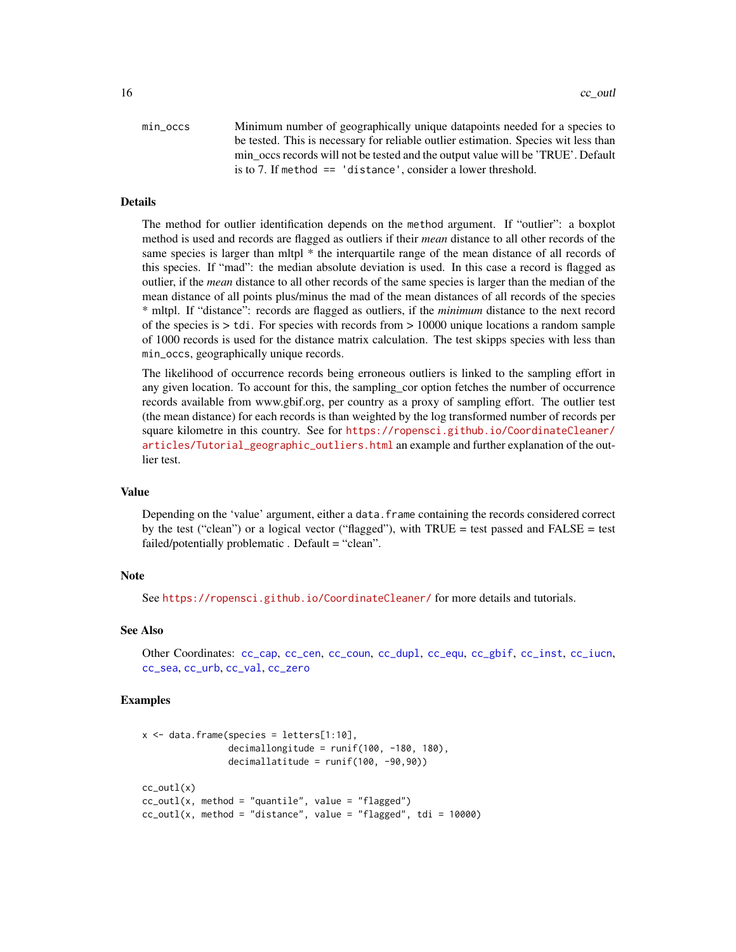<span id="page-15-0"></span>

| min occs | Minimum number of geographically unique datapoints needed for a species to          |
|----------|-------------------------------------------------------------------------------------|
|          | be tested. This is necessary for reliable outlier estimation. Species wit less than |
|          | min occs records will not be tested and the output value will be 'TRUE'. Default    |
|          | is to 7. If method $==$ 'distance', consider a lower threshold.                     |

#### Details

The method for outlier identification depends on the method argument. If "outlier": a boxplot method is used and records are flagged as outliers if their *mean* distance to all other records of the same species is larger than mltpl  $*$  the interquartile range of the mean distance of all records of this species. If "mad": the median absolute deviation is used. In this case a record is flagged as outlier, if the *mean* distance to all other records of the same species is larger than the median of the mean distance of all points plus/minus the mad of the mean distances of all records of the species \* mltpl. If "distance": records are flagged as outliers, if the *minimum* distance to the next record of the species is > tdi. For species with records from > 10000 unique locations a random sample of 1000 records is used for the distance matrix calculation. The test skipps species with less than min\_occs, geographically unique records.

The likelihood of occurrence records being erroneous outliers is linked to the sampling effort in any given location. To account for this, the sampling\_cor option fetches the number of occurrence records available from www.gbif.org, per country as a proxy of sampling effort. The outlier test (the mean distance) for each records is than weighted by the log transformed number of records per square kilometre in this country. See for [https://ropensci.github.io/CoordinateCleaner/](https://ropensci.github.io/CoordinateCleaner/articles/Tutorial_geographic_outliers.html) [articles/Tutorial\\_geographic\\_outliers.html](https://ropensci.github.io/CoordinateCleaner/articles/Tutorial_geographic_outliers.html) an example and further explanation of the outlier test.

#### Value

Depending on the 'value' argument, either a data. frame containing the records considered correct by the test ("clean") or a logical vector ("flagged"), with TRUE = test passed and FALSE = test failed/potentially problematic . Default = "clean".

# **Note**

See <https://ropensci.github.io/CoordinateCleaner/> for more details and tutorials.

### See Also

Other Coordinates: [cc\\_cap](#page-3-1), [cc\\_cen](#page-4-1), [cc\\_coun](#page-6-1), [cc\\_dupl](#page-7-1), [cc\\_equ](#page-8-1), [cc\\_gbif](#page-9-1), [cc\\_inst](#page-11-1), [cc\\_iucn](#page-12-1), [cc\\_sea](#page-16-1), [cc\\_urb](#page-17-1), [cc\\_val](#page-18-1), [cc\\_zero](#page-20-1)

```
x \le - data.frame(species = letters[1:10],
                decimallongitude = runif(100, -180, 180),
                decimallatitude = runif(100, -90, 90)cc_utl(x)cc_utl(x, method = "quantile", value = "flagged")
cc_utl(x, method = "distance", value = "flagged", tdi = 10000)
```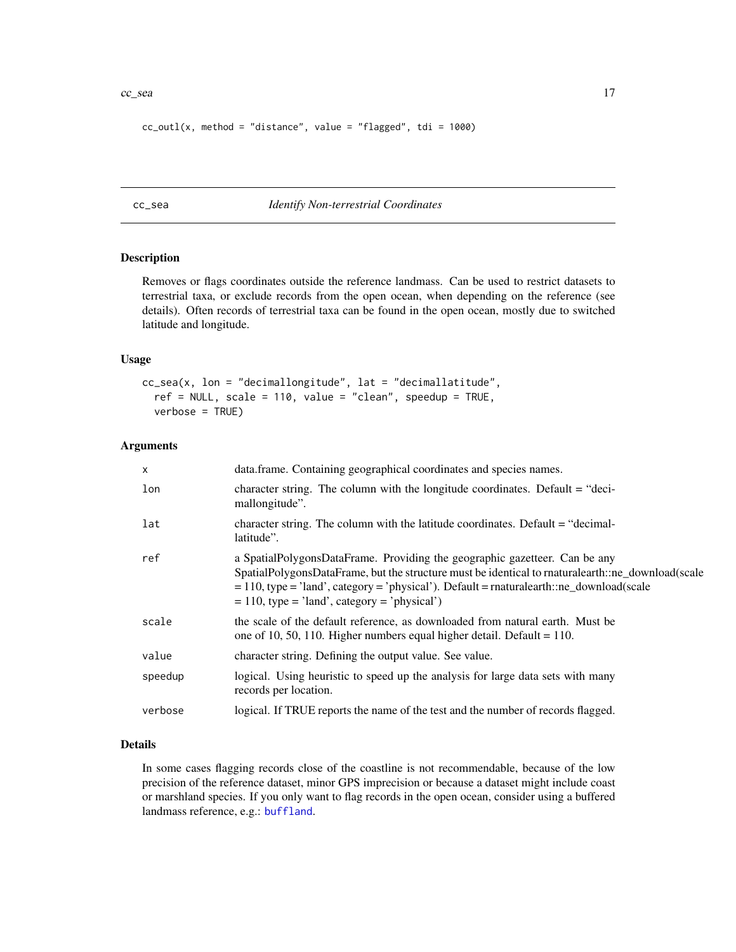#### <span id="page-16-0"></span> $cc$ \_sea  $17$

```
cc_utl(x, method = "distance", value = "flagged", tdi = 1000)
```
# <span id="page-16-1"></span>cc\_sea *Identify Non-terrestrial Coordinates*

# Description

Removes or flags coordinates outside the reference landmass. Can be used to restrict datasets to terrestrial taxa, or exclude records from the open ocean, when depending on the reference (see details). Often records of terrestrial taxa can be found in the open ocean, mostly due to switched latitude and longitude.

#### Usage

```
cc_sea(x, lon = "decimallongitude", lat = "decimallatitude",
  ref = NULL, scale = 110, value = "clean", speedup = TRUE,
  verbose = TRUE)
```
#### Arguments

| X       | data.frame. Containing geographical coordinates and species names.                                                                                                                                                                                                                                                                |
|---------|-----------------------------------------------------------------------------------------------------------------------------------------------------------------------------------------------------------------------------------------------------------------------------------------------------------------------------------|
| lon     | character string. The column with the longitude coordinates. Default = "deci-<br>mallongitude".                                                                                                                                                                                                                                   |
| lat     | character string. The column with the latitude coordinates. Default $=$ "decimal-<br>latitude".                                                                                                                                                                                                                                   |
| ref     | a SpatialPolygonsDataFrame. Providing the geographic gazetteer. Can be any<br>SpatialPolygonsDataFrame, but the structure must be identical to rnaturalearth::ne_download(scale<br>$= 110$ , type = 'land', category = 'physical'). Default = rnaturalearth::ne_download(scale<br>$= 110$ , type = 'land', category = 'physical') |
| scale   | the scale of the default reference, as downloaded from natural earth. Must be<br>one of 10, 50, 110. Higher numbers equal higher detail. Default = $110$ .                                                                                                                                                                        |
| value   | character string. Defining the output value. See value.                                                                                                                                                                                                                                                                           |
| speedup | logical. Using heuristic to speed up the analysis for large data sets with many<br>records per location.                                                                                                                                                                                                                          |
| verbose | logical. If TRUE reports the name of the test and the number of records flagged.                                                                                                                                                                                                                                                  |

#### Details

In some cases flagging records close of the coastline is not recommendable, because of the low precision of the reference dataset, minor GPS imprecision or because a dataset might include coast or marshland species. If you only want to flag records in the open ocean, consider using a buffered landmass reference, e.g.: [buffland](#page-2-1).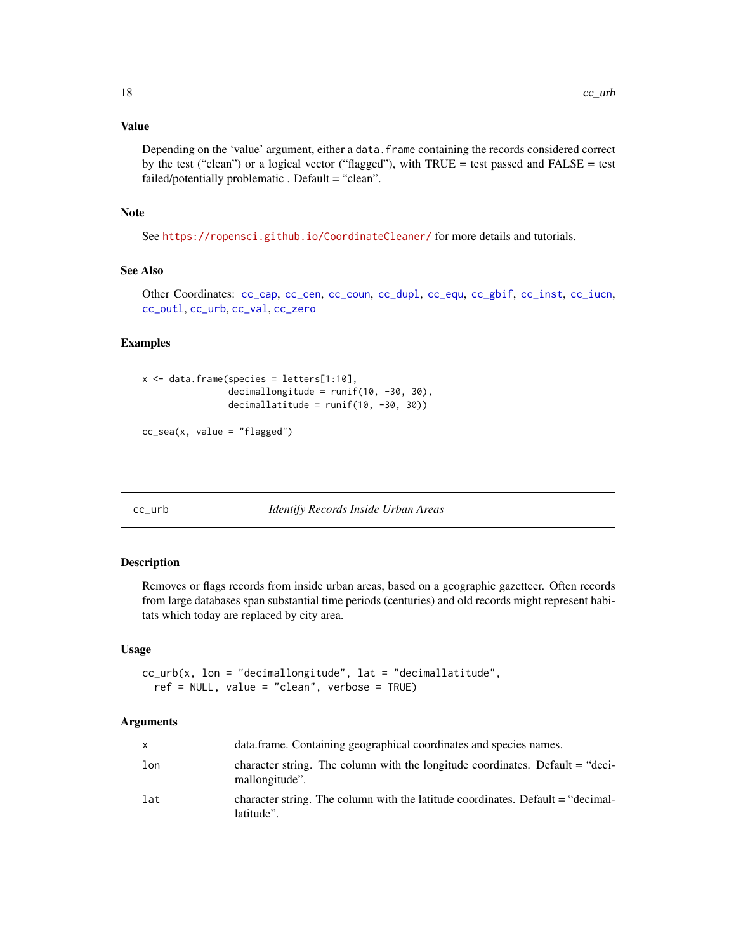# <span id="page-17-0"></span>Value

Depending on the 'value' argument, either a data.frame containing the records considered correct by the test ("clean") or a logical vector ("flagged"), with TRUE = test passed and FALSE = test failed/potentially problematic . Default = "clean".

# Note

See <https://ropensci.github.io/CoordinateCleaner/> for more details and tutorials.

# See Also

Other Coordinates: [cc\\_cap](#page-3-1), [cc\\_cen](#page-4-1), [cc\\_coun](#page-6-1), [cc\\_dupl](#page-7-1), [cc\\_equ](#page-8-1), [cc\\_gbif](#page-9-1), [cc\\_inst](#page-11-1), [cc\\_iucn](#page-12-1), [cc\\_outl](#page-14-1), [cc\\_urb](#page-17-1), [cc\\_val](#page-18-1), [cc\\_zero](#page-20-1)

# Examples

```
x \le - data.frame(species = letters[1:10],
                decimallongitude = runif(10, -30, 30),
                decimallatitude = runif(10, -30, 30))
```

```
cc_sea(x, value = "flagged")
```
<span id="page-17-1"></span>cc\_urb *Identify Records Inside Urban Areas*

#### Description

Removes or flags records from inside urban areas, based on a geographic gazetteer. Often records from large databases span substantial time periods (centuries) and old records might represent habitats which today are replaced by city area.

#### Usage

```
cc_{\text{un}}(x, \text{lon} = \text{"decimallongitude", lat} = \text{"decimal lattice",}ref = NULL, value = "clean", verbose = TRUE)
```

| X   | data.frame. Containing geographical coordinates and species names.                              |
|-----|-------------------------------------------------------------------------------------------------|
| lon | character string. The column with the longitude coordinates. Default = "deci-<br>mallongitude". |
| lat | character string. The column with the latitude coordinates. Default $=$ "decimal-<br>latitude". |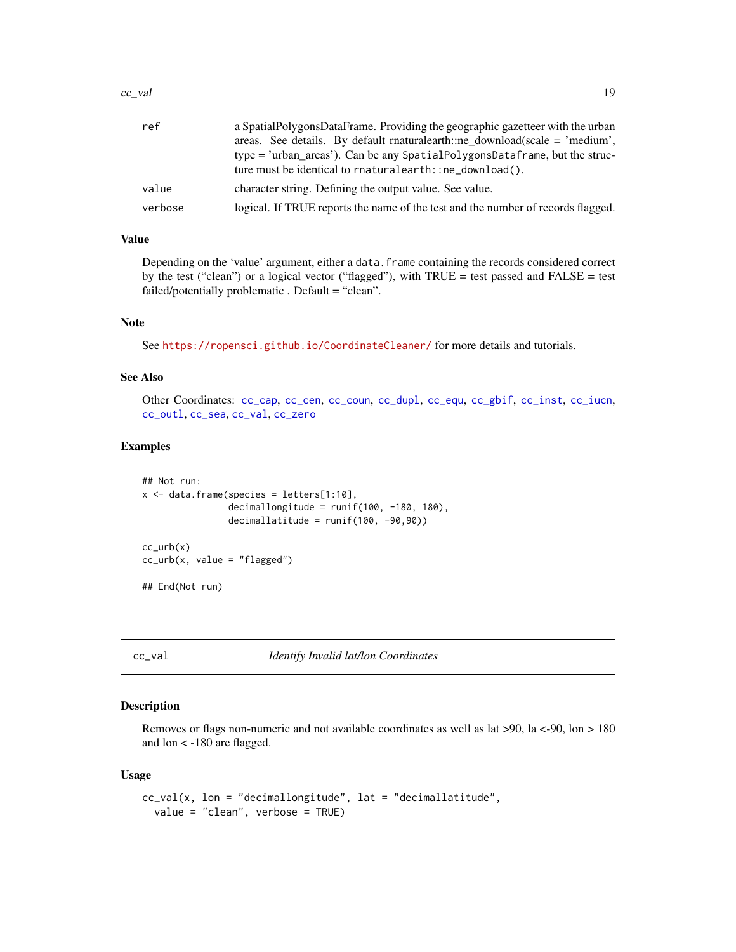#### <span id="page-18-0"></span> $cc_$ ual  $19$

| ref     | a SpatialPolygonsDataFrame. Providing the geographic gazetteer with the urban    |
|---------|----------------------------------------------------------------------------------|
|         | areas. See details. By default maturalearth::ne download(scale $=$ 'medium',     |
|         | type = 'urban_areas'). Can be any SpatialPolygonsDataframe, but the struc-       |
|         | ture must be identical to rnaturalearth::ne_download().                          |
| value   | character string. Defining the output value. See value.                          |
| verbose | logical. If TRUE reports the name of the test and the number of records flagged. |

# Value

Depending on the 'value' argument, either a data.frame containing the records considered correct by the test ("clean") or a logical vector ("flagged"), with TRUE = test passed and FALSE = test failed/potentially problematic . Default = "clean".

# Note

See <https://ropensci.github.io/CoordinateCleaner/> for more details and tutorials.

# See Also

Other Coordinates: [cc\\_cap](#page-3-1), [cc\\_cen](#page-4-1), [cc\\_coun](#page-6-1), [cc\\_dupl](#page-7-1), [cc\\_equ](#page-8-1), [cc\\_gbif](#page-9-1), [cc\\_inst](#page-11-1), [cc\\_iucn](#page-12-1), [cc\\_outl](#page-14-1), [cc\\_sea](#page-16-1), [cc\\_val](#page-18-1), [cc\\_zero](#page-20-1)

#### Examples

```
## Not run:
x \le - data.frame(species = letters[1:10],
                decimallongitude = runif(100, -180, 180),
                decimallatitude = runif(100, -90,90))
cc_urb(x)cc_urb(x, value = "flagged")
## End(Not run)
```
<span id="page-18-1"></span>cc\_val *Identify Invalid lat/lon Coordinates*

# Description

Removes or flags non-numeric and not available coordinates as well as lat  $>90$ , la <-90, lon > 180 and lon < -180 are flagged.

#### Usage

```
cc_val(x, lon = "decimallongitude", lat = "decimallatitude",
  value = "clean", verbose = TRUE)
```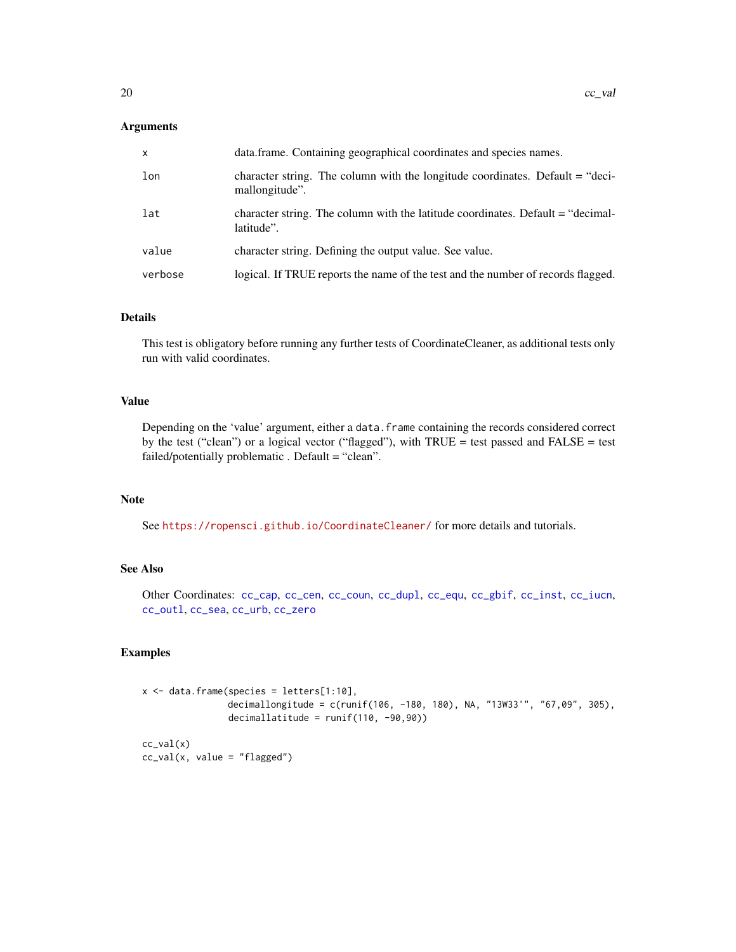# <span id="page-19-0"></span>Arguments

| X       | data.frame. Containing geographical coordinates and species names.                                |
|---------|---------------------------------------------------------------------------------------------------|
| lon     | character string. The column with the longitude coordinates. Default $=$ "deci-<br>mallongitude". |
| lat     | character string. The column with the latitude coordinates. Default = "decimal-<br>latitude".     |
| value   | character string. Defining the output value. See value.                                           |
| verbose | logical. If TRUE reports the name of the test and the number of records flagged.                  |

# Details

This test is obligatory before running any further tests of CoordinateCleaner, as additional tests only run with valid coordinates.

# Value

Depending on the 'value' argument, either a data. frame containing the records considered correct by the test ("clean") or a logical vector ("flagged"), with TRUE = test passed and FALSE = test failed/potentially problematic . Default = "clean".

# Note

See <https://ropensci.github.io/CoordinateCleaner/> for more details and tutorials.

# See Also

Other Coordinates: [cc\\_cap](#page-3-1), [cc\\_cen](#page-4-1), [cc\\_coun](#page-6-1), [cc\\_dupl](#page-7-1), [cc\\_equ](#page-8-1), [cc\\_gbif](#page-9-1), [cc\\_inst](#page-11-1), [cc\\_iucn](#page-12-1), [cc\\_outl](#page-14-1), [cc\\_sea](#page-16-1), [cc\\_urb](#page-17-1), [cc\\_zero](#page-20-1)

```
x \le - data.frame(species = letters[1:10],
                decimallongitude = c(runif(106, -180, 180), NA, "13W33'", "67,09", 305),
                decimallatitude = runif(110, -90, 90))cc_val(x)
cc\_val(x, value = "flagged")
```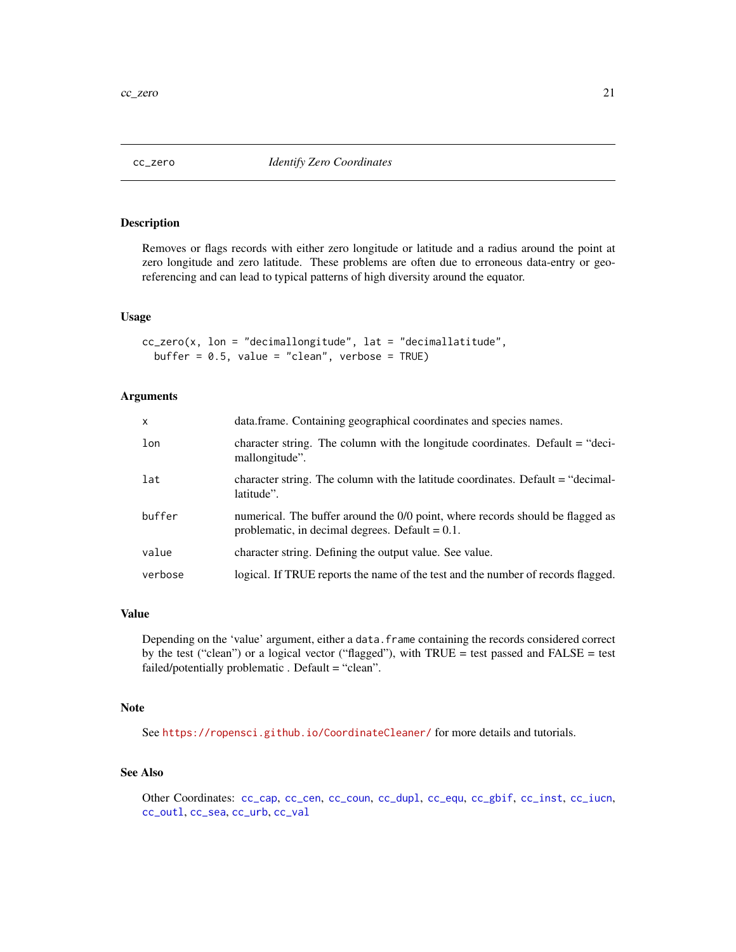<span id="page-20-1"></span><span id="page-20-0"></span>

Removes or flags records with either zero longitude or latitude and a radius around the point at zero longitude and zero latitude. These problems are often due to erroneous data-entry or georeferencing and can lead to typical patterns of high diversity around the equator.

# Usage

cc\_zero(x, lon = "decimallongitude", lat = "decimallatitude", buffer =  $0.5$ , value = "clean", verbose = TRUE)

# Arguments

| $\mathsf{x}$ | data.frame. Containing geographical coordinates and species names.                                                                   |
|--------------|--------------------------------------------------------------------------------------------------------------------------------------|
| lon          | character string. The column with the longitude coordinates. Default $=$ "deci-<br>mallongitude".                                    |
| lat          | character string. The column with the latitude coordinates. Default = "decimal-<br>latitude".                                        |
| buffer       | numerical. The buffer around the 0/0 point, where records should be flagged as<br>problematic, in decimal degrees. Default $= 0.1$ . |
| value        | character string. Defining the output value. See value.                                                                              |
| verbose      | logical. If TRUE reports the name of the test and the number of records flagged.                                                     |

# Value

Depending on the 'value' argument, either a data.frame containing the records considered correct by the test ("clean") or a logical vector ("flagged"), with TRUE = test passed and FALSE = test failed/potentially problematic . Default = "clean".

# Note

See <https://ropensci.github.io/CoordinateCleaner/> for more details and tutorials.

# See Also

Other Coordinates: [cc\\_cap](#page-3-1), [cc\\_cen](#page-4-1), [cc\\_coun](#page-6-1), [cc\\_dupl](#page-7-1), [cc\\_equ](#page-8-1), [cc\\_gbif](#page-9-1), [cc\\_inst](#page-11-1), [cc\\_iucn](#page-12-1), [cc\\_outl](#page-14-1), [cc\\_sea](#page-16-1), [cc\\_urb](#page-17-1), [cc\\_val](#page-18-1)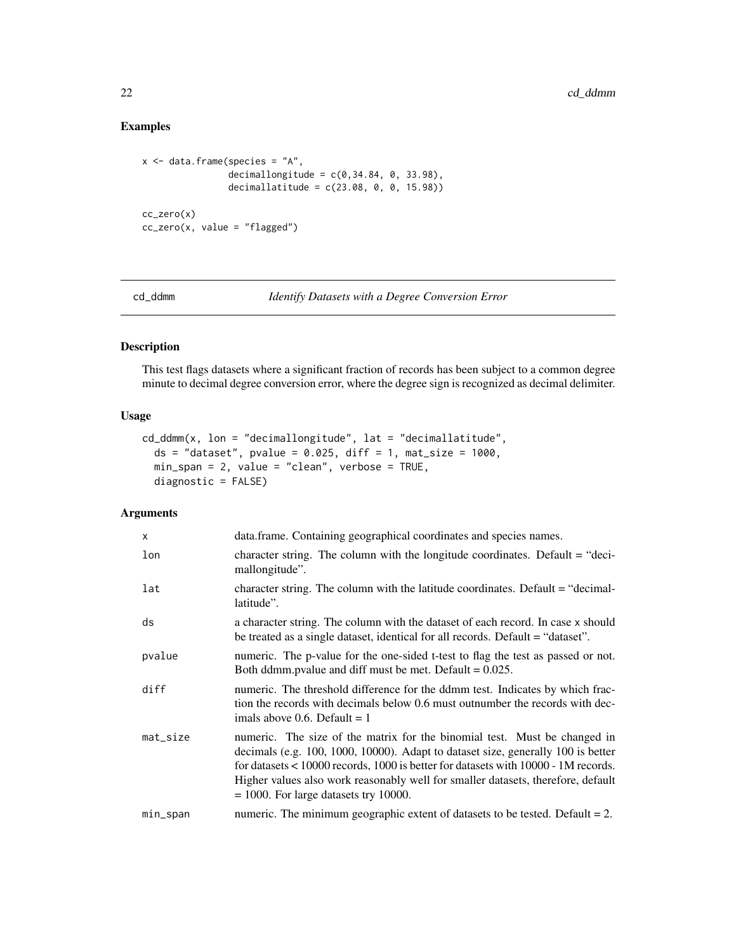# <span id="page-21-0"></span>Examples

```
x <- data.frame(species = "A",
                decimallongitude = c(0, 34.84, 0, 33.98),
                decimallatitude = c(23.08, 0, 0, 15.98))
cc_zero(x)
cc_zero(x, value = "flagged")
```
<span id="page-21-1"></span>cd\_ddmm *Identify Datasets with a Degree Conversion Error*

# Description

This test flags datasets where a significant fraction of records has been subject to a common degree minute to decimal degree conversion error, where the degree sign is recognized as decimal delimiter.

# Usage

```
cd_ddmm(x, lon = "decimallongitude", lat = "decimallatitude",
  ds = "dataset", pvalue = 0.025, diff = 1, mat_size = 1000,min_span = 2, value = "clean", verbose = TRUE,
 diagnostic = FALSE)
```

| $\mathsf{x}$ | data.frame. Containing geographical coordinates and species names.                                                                                                                                                                                                                                                                                                                    |
|--------------|---------------------------------------------------------------------------------------------------------------------------------------------------------------------------------------------------------------------------------------------------------------------------------------------------------------------------------------------------------------------------------------|
| lon          | character string. The column with the longitude coordinates. Default $=$ "deci-<br>mallongitude".                                                                                                                                                                                                                                                                                     |
| lat          | character string. The column with the latitude coordinates. Default = "decimal-<br>latitude".                                                                                                                                                                                                                                                                                         |
| ds           | a character string. The column with the dataset of each record. In case x should<br>be treated as a single dataset, identical for all records. Default = "dataset".                                                                                                                                                                                                                   |
| pvalue       | numeric. The p-value for the one-sided t-test to flag the test as passed or not.<br>Both ddmm.pvalue and diff must be met. Default $= 0.025$ .                                                                                                                                                                                                                                        |
| diff         | numeric. The threshold difference for the ddmm test. Indicates by which frac-<br>tion the records with decimals below 0.6 must outnumber the records with dec-<br>imals above 0.6. Default $= 1$                                                                                                                                                                                      |
| $mat\_size$  | numeric. The size of the matrix for the binomial test. Must be changed in<br>decimals (e.g. 100, 1000, 10000). Adapt to dataset size, generally 100 is better<br>for datasets $< 10000$ records, 1000 is better for datasets with 10000 - 1M records.<br>Higher values also work reasonably well for smaller datasets, therefore, default<br>$= 1000$ . For large datasets try 10000. |
| min_span     | numeric. The minimum geographic extent of datasets to be tested. Default $= 2$ .                                                                                                                                                                                                                                                                                                      |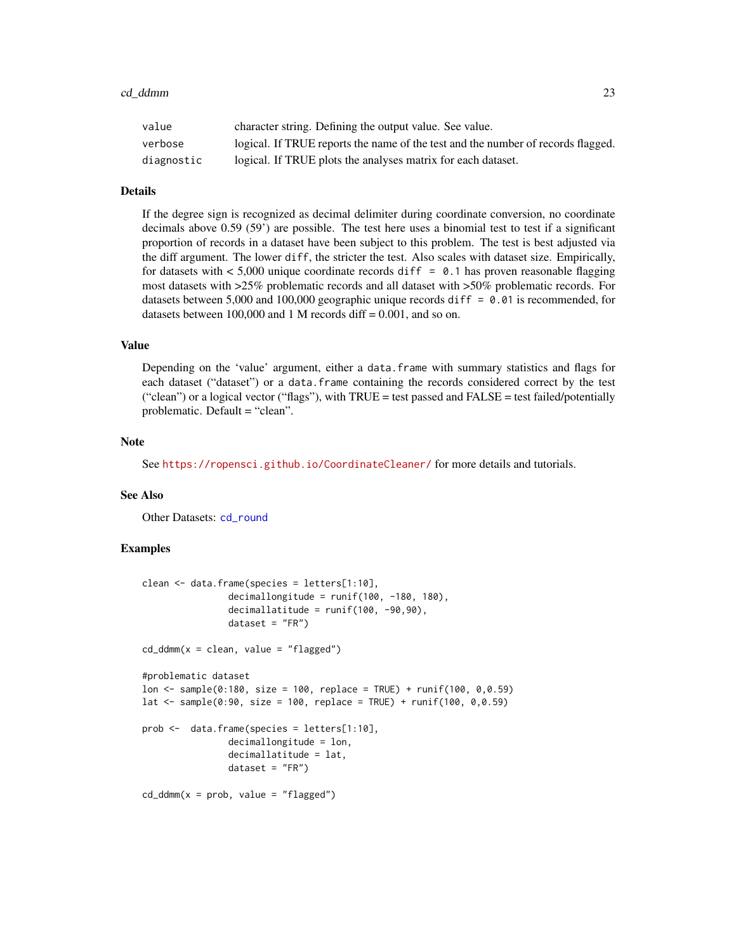<span id="page-22-0"></span>

| value      | character string. Defining the output value. See value.                          |
|------------|----------------------------------------------------------------------------------|
| verbose    | logical. If TRUE reports the name of the test and the number of records flagged. |
| diagnostic | logical. If TRUE plots the analyses matrix for each dataset.                     |

# Details

If the degree sign is recognized as decimal delimiter during coordinate conversion, no coordinate decimals above 0.59 (59') are possible. The test here uses a binomial test to test if a significant proportion of records in a dataset have been subject to this problem. The test is best adjusted via the diff argument. The lower diff, the stricter the test. Also scales with dataset size. Empirically, for datasets with  $< 5,000$  unique coordinate records diff = 0.1 has proven reasonable flagging most datasets with >25% problematic records and all dataset with >50% problematic records. For datasets between 5,000 and 100,000 geographic unique records diff =  $0.01$  is recommended, for datasets between  $100,000$  and 1 M records diff =  $0.001$ , and so on.

#### Value

Depending on the 'value' argument, either a data.frame with summary statistics and flags for each dataset ("dataset") or a data.frame containing the records considered correct by the test ("clean") or a logical vector ("flags"), with  $TRUE = \text{test passed}$  and  $FALSE = \text{test}$  failed/potentially problematic. Default = "clean".

# Note

See <https://ropensci.github.io/CoordinateCleaner/> for more details and tutorials.

#### See Also

Other Datasets: [cd\\_round](#page-23-1)

```
clean <- data.frame(species = letters[1:10],
                decimallongitude = runif(100, -180, 180),
                decimallatitude = runif(100, -90, 90),
                dataset = "FR")cd\_ddmm(x = clean, value = "flagged")#problematic dataset
lon <- sample(0:180, size = 100, replace = TRUE) + runif(100, 0,0.59)
lat <- sample(0:90, size = 100, replace = TRUE) + runif(100, 0,0.59)
prob <- data.frame(species = letters[1:10],
                decimallongitude = lon,
                decimallatitude = lat,
                dataset = "FR")cd\_ddmm(x = prob, value = "flagged")
```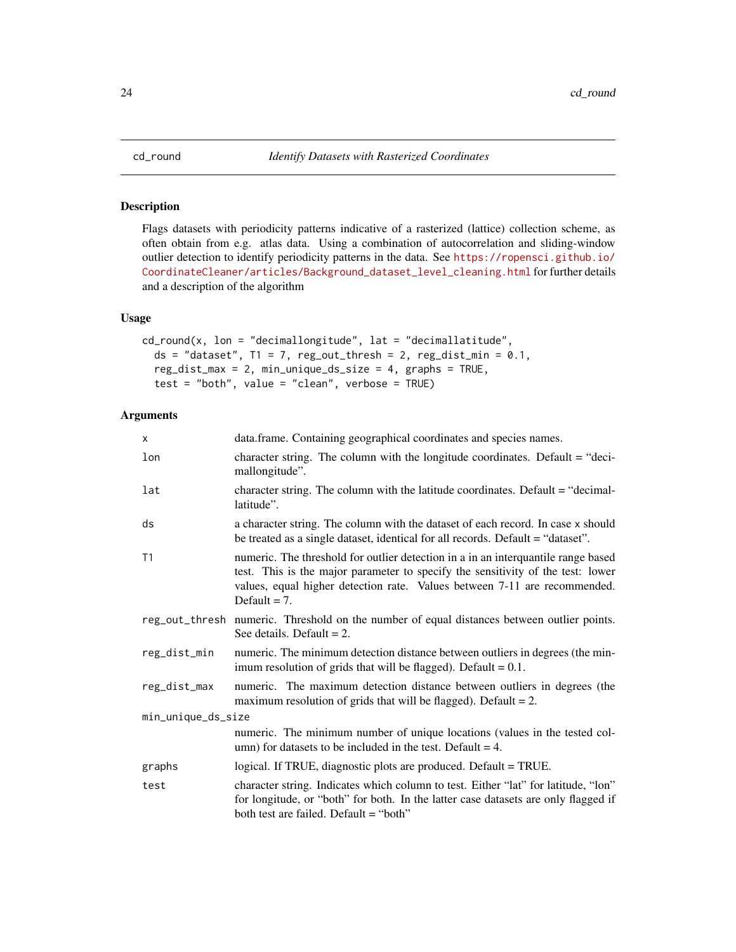Flags datasets with periodicity patterns indicative of a rasterized (lattice) collection scheme, as often obtain from e.g. atlas data. Using a combination of autocorrelation and sliding-window outlier detection to identify periodicity patterns in the data. See [https://ropensci.github.io/](https://ropensci.github.io/CoordinateCleaner/articles/Background_dataset_level_cleaning.html) [CoordinateCleaner/articles/Background\\_dataset\\_level\\_cleaning.html](https://ropensci.github.io/CoordinateCleaner/articles/Background_dataset_level_cleaning.html) for further details and a description of the algorithm

# Usage

```
cd_{rad}(x, \text{lon} = "decimallongitude", \text{lat} = "decimal1)ds = "dataset", T1 = 7, reg_out_thresh = 2, reg_dist_min = 0.1,
  reg_dist_max = 2, min_unique_ds_size = 4, graphs = TRUE,
  test = "both", value = "clean", verbose = TRUE)
```

| $\times$           | data.frame. Containing geographical coordinates and species names.                                                                                                                                                                                                   |  |
|--------------------|----------------------------------------------------------------------------------------------------------------------------------------------------------------------------------------------------------------------------------------------------------------------|--|
| lon                | character string. The column with the longitude coordinates. Default = "deci-<br>mallongitude".                                                                                                                                                                      |  |
| lat                | character string. The column with the latitude coordinates. Default $=$ "decimal-<br>latitude".                                                                                                                                                                      |  |
| ds                 | a character string. The column with the dataset of each record. In case x should<br>be treated as a single dataset, identical for all records. Default = "dataset".                                                                                                  |  |
| T1                 | numeric. The threshold for outlier detection in a in an interquantile range based<br>test. This is the major parameter to specify the sensitivity of the test: lower<br>values, equal higher detection rate. Values between 7-11 are recommended.<br>Default $= 7$ . |  |
|                    | reg_out_thresh_numeric._Threshold_on_the_number_of_equal_distances_between_outlier_points.<br>See details. Default $= 2$ .                                                                                                                                           |  |
| reg_dist_min       | numeric. The minimum detection distance between outliers in degrees (the min-<br>imum resolution of grids that will be flagged). Default $= 0.1$ .                                                                                                                   |  |
| reg_dist_max       | numeric. The maximum detection distance between outliers in degrees (the<br>maximum resolution of grids that will be flagged). Default $= 2$ .                                                                                                                       |  |
| min_unique_ds_size |                                                                                                                                                                                                                                                                      |  |
|                    | numeric. The minimum number of unique locations (values in the tested col-<br>umn) for datasets to be included in the test. Default = $4$ .                                                                                                                          |  |
| graphs             | logical. If TRUE, diagnostic plots are produced. Default = TRUE.                                                                                                                                                                                                     |  |
| test               | character string. Indicates which column to test. Either "lat" for latitude, "lon"<br>for longitude, or "both" for both. In the latter case datasets are only flagged if<br>both test are failed. Default = "both"                                                   |  |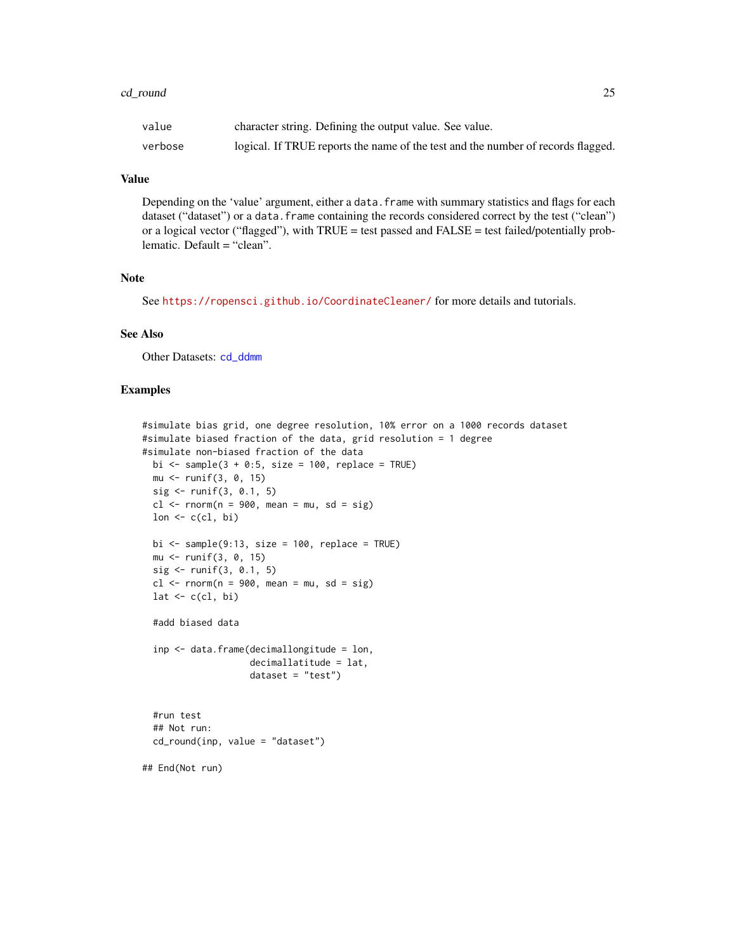#### <span id="page-24-0"></span>cd\_round 25

| value   | character string. Defining the output value. See value.                          |
|---------|----------------------------------------------------------------------------------|
| verbose | logical. If TRUE reports the name of the test and the number of records flagged. |

# Value

Depending on the 'value' argument, either a data. frame with summary statistics and flags for each dataset ("dataset") or a data.frame containing the records considered correct by the test ("clean") or a logical vector ("flagged"), with  $TRUE = test$  passed and  $FALSE = test$  failed/potentially problematic. Default = "clean".

# Note

See <https://ropensci.github.io/CoordinateCleaner/> for more details and tutorials.

# See Also

Other Datasets: [cd\\_ddmm](#page-21-1)

```
#simulate bias grid, one degree resolution, 10% error on a 1000 records dataset
#simulate biased fraction of the data, grid resolution = 1 degree
#simulate non-biased fraction of the data
 bi \le sample(3 + 0:5, size = 100, replace = TRUE)
 mu <- runif(3, 0, 15)
 sig \leftarrow runif(3, 0.1, 5)cl <- rnorm(n = 900, mean = mu, sd = sig)
 lon \leq c(cl, bi)bi \le sample(9:13, size = 100, replace = TRUE)
 mu <- runif(3, 0, 15)
 sig <- runif(3, 0.1, 5)
 cl <- rnorm(n = 900, mean = mu, sd = sig)
 lat \leftarrow c(cl, bi)
 #add biased data
 inp <- data.frame(decimallongitude = lon,
                    decimallatitude = lat,
                    dataset = "test")#run test
 ## Not run:
 cd_round(inp, value = "dataset")
## End(Not run)
```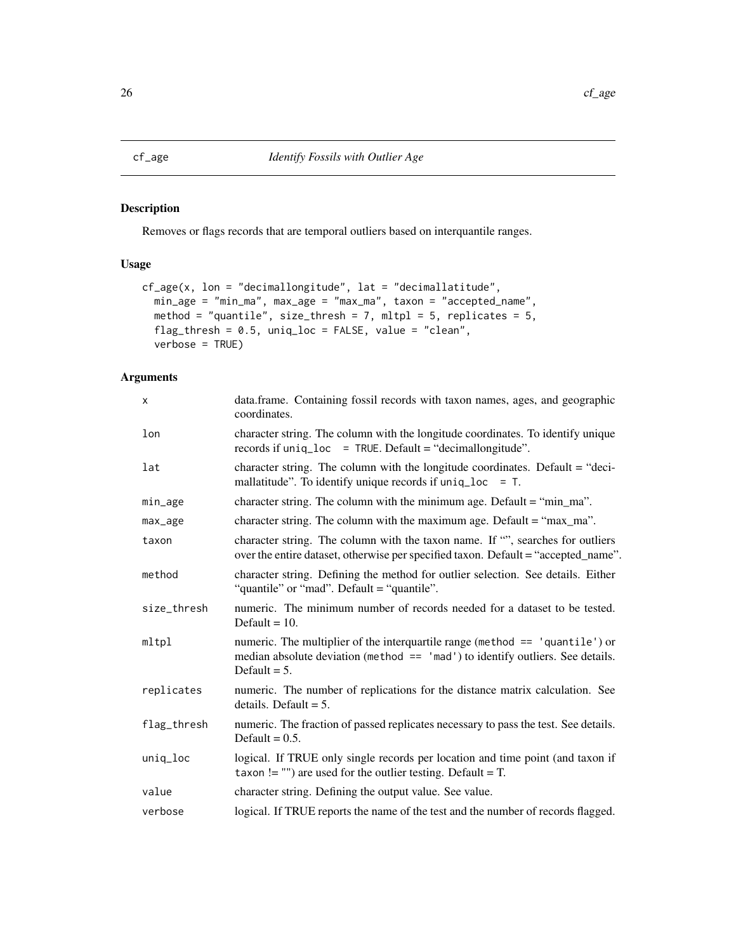<span id="page-25-1"></span><span id="page-25-0"></span>Removes or flags records that are temporal outliers based on interquantile ranges.

# Usage

```
cf_age(x, lon = "decimallongitude", lat = "decimallatitude",
  min_age = "min_ma", max_age = "max_ma", taxon = "accepted_name",
  method = "quantile", size_thresh = 7, mltpl = 5, replicates = 5,
 flag_thresh = 0.5, uniq_loc = FALSE, value = "clean",
  verbose = TRUE)
```

| X           | data.frame. Containing fossil records with taxon names, ages, and geographic<br>coordinates.                                                                                        |
|-------------|-------------------------------------------------------------------------------------------------------------------------------------------------------------------------------------|
| lon         | character string. The column with the longitude coordinates. To identify unique<br>records if uniq_loc = TRUE. Default = "decimallongitude".                                        |
| lat         | character string. The column with the longitude coordinates. Default $=$ "deci-<br>mallatitude". To identify unique records if $uniq\_loc = T$ .                                    |
| min_age     | character string. The column with the minimum age. Default = "min_ma".                                                                                                              |
| max_age     | character string. The column with the maximum age. Default $=$ "max_ma".                                                                                                            |
| taxon       | character string. The column with the taxon name. If "", searches for outliers<br>over the entire dataset, otherwise per specified taxon. Default = "accepted_name".                |
| method      | character string. Defining the method for outlier selection. See details. Either<br>"quantile" or "mad". Default = "quantile".                                                      |
| size_thresh | numeric. The minimum number of records needed for a dataset to be tested.<br>Default = $10$ .                                                                                       |
| mltpl       | numeric. The multiplier of the interquartile range (method == 'quantile') or<br>median absolute deviation (method $==$ 'mad') to identify outliers. See details.<br>Default $= 5$ . |
| replicates  | numeric. The number of replications for the distance matrix calculation. See<br>details. Default $= 5$ .                                                                            |
| flag_thresh | numeric. The fraction of passed replicates necessary to pass the test. See details.<br>Default = $0.5$ .                                                                            |
| uniq_loc    | logical. If TRUE only single records per location and time point (and taxon if<br>taxon != "") are used for the outlier testing. Default = $T$ .                                    |
| value       | character string. Defining the output value. See value.                                                                                                                             |
| verbose     | logical. If TRUE reports the name of the test and the number of records flagged.                                                                                                    |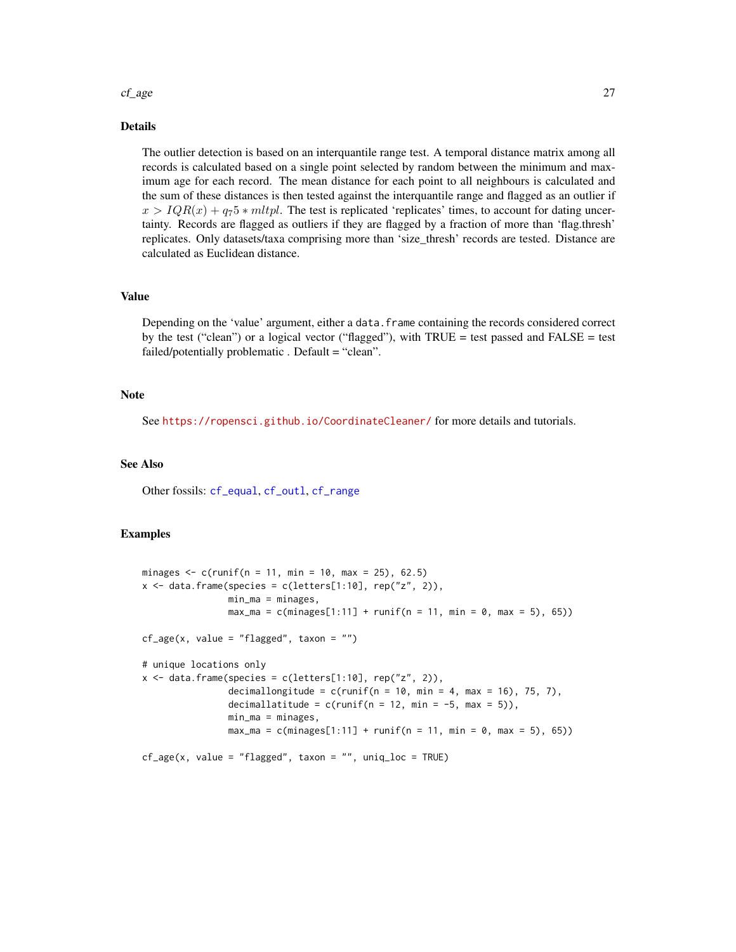#### <span id="page-26-0"></span>cf\_age 27

# Details

The outlier detection is based on an interquantile range test. A temporal distance matrix among all records is calculated based on a single point selected by random between the minimum and maximum age for each record. The mean distance for each point to all neighbours is calculated and the sum of these distances is then tested against the interquantile range and flagged as an outlier if  $x > IQR(x) + q_75 * mltpl$ . The test is replicated 'replicates' times, to account for dating uncertainty. Records are flagged as outliers if they are flagged by a fraction of more than 'flag.thresh' replicates. Only datasets/taxa comprising more than 'size\_thresh' records are tested. Distance are calculated as Euclidean distance.

# Value

Depending on the 'value' argument, either a data.frame containing the records considered correct by the test ("clean") or a logical vector ("flagged"), with TRUE = test passed and FALSE = test failed/potentially problematic. Default = "clean".

#### **Note**

See <https://ropensci.github.io/CoordinateCleaner/> for more details and tutorials.

# See Also

Other fossils: [cf\\_equal](#page-27-1), [cf\\_outl](#page-28-1), [cf\\_range](#page-29-1)

```
minages \leq c(runif(n = 11, min = 10, max = 25), 62.5)
x \le - data.frame(species = c(letters[1:10], rep("z", 2)),
                min_m = minages,max_{ma} = c(minages[1:11] + runif(n = 11, min = 0, max = 5), 65))cf\_{age}(x, value = "flagged", taxon = "")# unique locations only
x \le - data.frame(species = c(letters[1:10], rep("z", 2)),
                decimallongitude = c(runif(n = 10, min = 4, max = 16), 75, 7),
                decimallatitude = c(runif(n = 12, min = -5, max = 5)),
                min\_ma = minages,max_{ma} = c(minages[1:11] + runif(n = 11, min = 0, max = 5), 65))cf\_{age}(x, value = "flagged", taxon = "", unique = TRUE)
```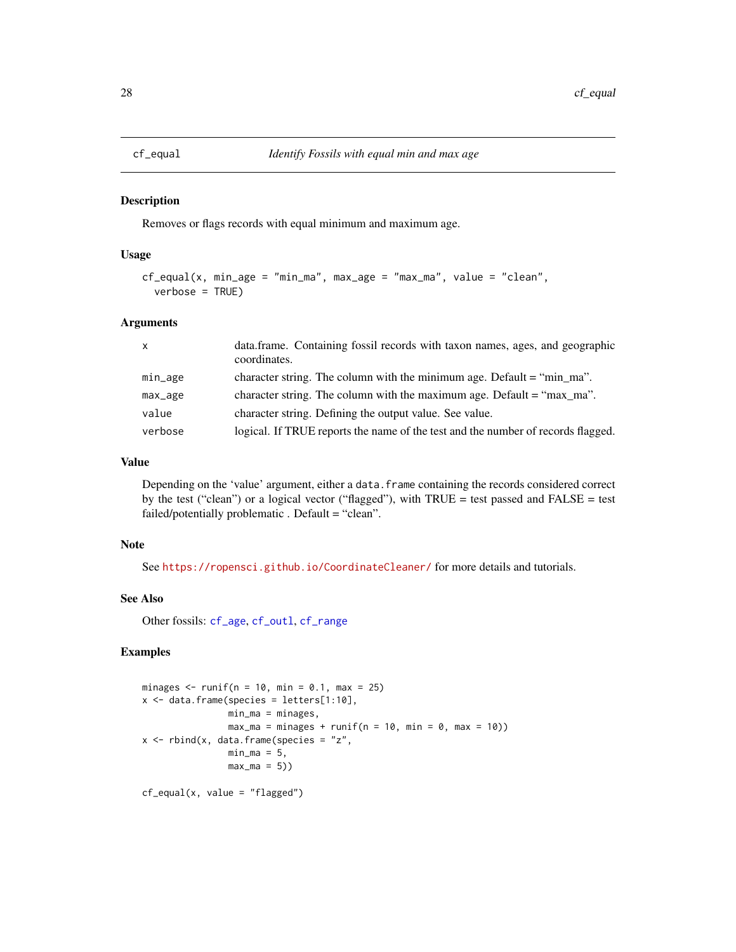<span id="page-27-1"></span><span id="page-27-0"></span>

Removes or flags records with equal minimum and maximum age.

# Usage

```
cf_equal(x, min_age = "min_ma", max_age = "max_ma", value = "clean",
  verbose = TRUE)
```
#### **Arguments**

| $\mathsf{x}$ | data.frame. Containing fossil records with taxon names, ages, and geographic<br>coordinates. |
|--------------|----------------------------------------------------------------------------------------------|
| min_age      | character string. The column with the minimum age. Default $=$ "min_ma".                     |
| max_age      | character string. The column with the maximum age. Default = "max ma".                       |
| value        | character string. Defining the output value. See value.                                      |
| verbose      | logical. If TRUE reports the name of the test and the number of records flagged.             |

# Value

Depending on the 'value' argument, either a data.frame containing the records considered correct by the test ("clean") or a logical vector ("flagged"), with TRUE = test passed and FALSE = test failed/potentially problematic . Default = "clean".

# Note

See <https://ropensci.github.io/CoordinateCleaner/> for more details and tutorials.

#### See Also

Other fossils: [cf\\_age](#page-25-1), [cf\\_outl](#page-28-1), [cf\\_range](#page-29-1)

```
minages \le runif(n = 10, min = 0.1, max = 25)
x \le - data.frame(species = letters[1:10],
                min_ma = minages,
               max_m = minages + runif(n = 10, min = 0, max = 10)x \le - rbind(x, data.frame(species = "z",
               min\_ma = 5,
                max_m = 5)cf_equal(x, value = "flagged")
```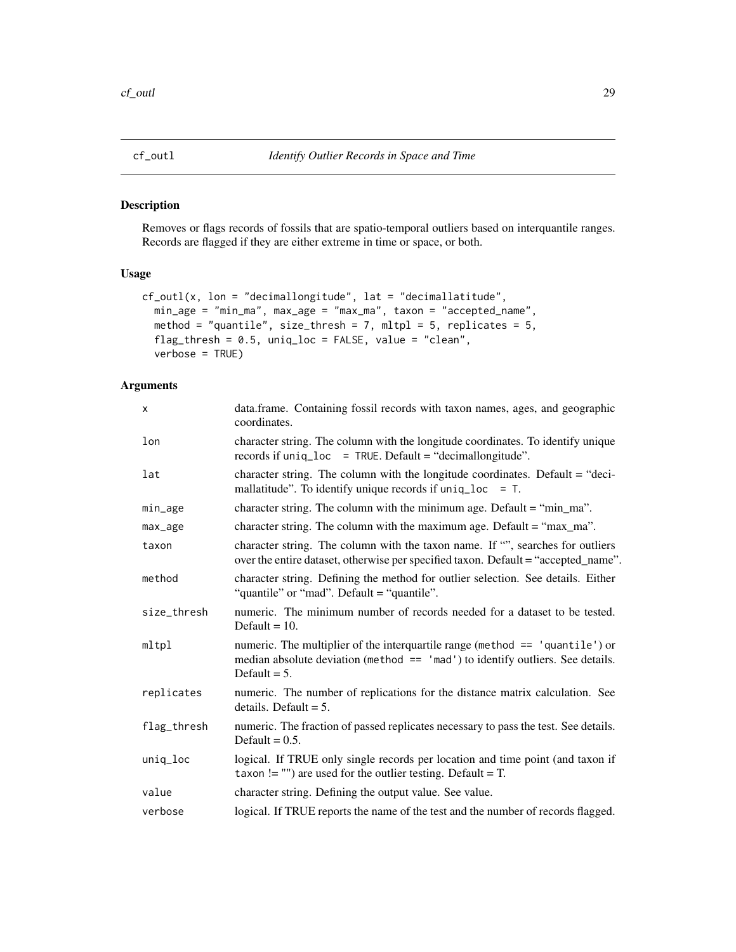<span id="page-28-1"></span><span id="page-28-0"></span>

Removes or flags records of fossils that are spatio-temporal outliers based on interquantile ranges. Records are flagged if they are either extreme in time or space, or both.

# Usage

```
cf_outl(x, lon = "decimallongitude", lat = "decimallatitude",
 min_age = "min_ma", max_age = "max_ma", taxon = "accepted_name",
 method = "quantile", size_thresh = 7, mltpl = 5, replicates = 5,
  flag_thresh = 0.5, unique = FALSE, value = "clean",verbose = TRUE)
```

| X           | data.frame. Containing fossil records with taxon names, ages, and geographic<br>coordinates.                                                                                        |
|-------------|-------------------------------------------------------------------------------------------------------------------------------------------------------------------------------------|
| lon         | character string. The column with the longitude coordinates. To identify unique<br>records if uniq_loc = TRUE. Default = "decimallongitude".                                        |
| lat         | character string. The column with the longitude coordinates. Default = "deci-<br>mallatitude". To identify unique records if $uniq\_loc = T$ .                                      |
| min_age     | character string. The column with the minimum age. Default = "min_ma".                                                                                                              |
| max_age     | character string. The column with the maximum age. Default $=$ "max_ma".                                                                                                            |
| taxon       | character string. The column with the taxon name. If "", searches for outliers<br>over the entire dataset, otherwise per specified taxon. Default = "accepted_name".                |
| method      | character string. Defining the method for outlier selection. See details. Either<br>"quantile" or "mad". Default = "quantile".                                                      |
| size_thresh | numeric. The minimum number of records needed for a dataset to be tested.<br>Default = $10$ .                                                                                       |
| mltpl       | numeric. The multiplier of the interquartile range (method == 'quantile') or<br>median absolute deviation (method $==$ 'mad') to identify outliers. See details.<br>Default $= 5$ . |
| replicates  | numeric. The number of replications for the distance matrix calculation. See<br>details. Default $= 5$ .                                                                            |
| flag_thresh | numeric. The fraction of passed replicates necessary to pass the test. See details.<br>Default = $0.5$ .                                                                            |
| uniq_loc    | logical. If TRUE only single records per location and time point (and taxon if<br>taxon != "") are used for the outlier testing. Default = $T$ .                                    |
| value       | character string. Defining the output value. See value.                                                                                                                             |
| verbose     | logical. If TRUE reports the name of the test and the number of records flagged.                                                                                                    |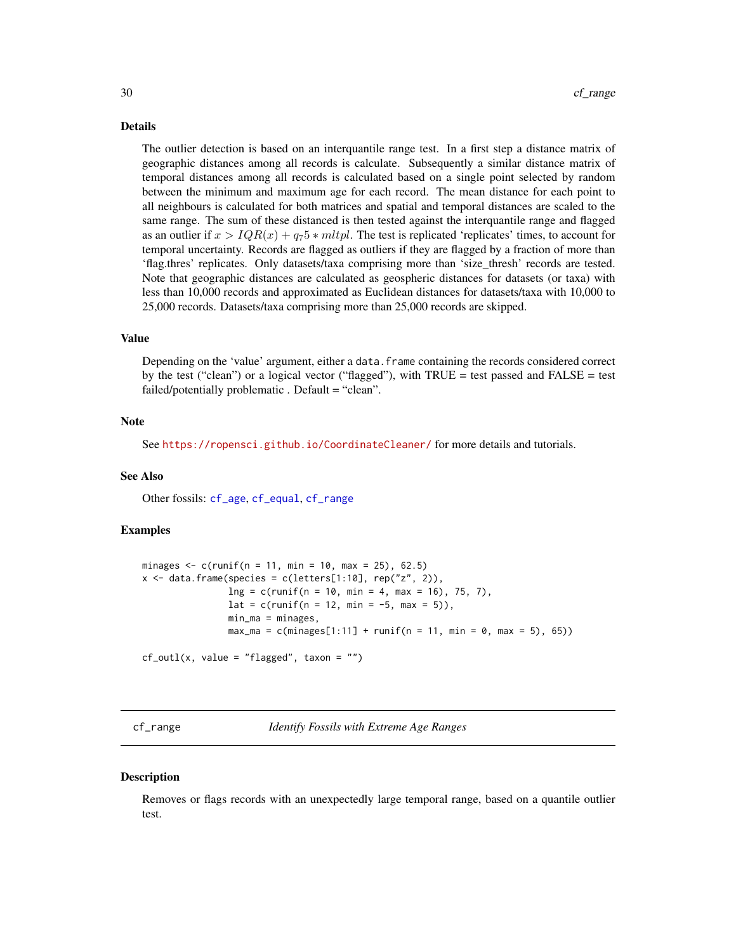#### <span id="page-29-0"></span>Details

The outlier detection is based on an interquantile range test. In a first step a distance matrix of geographic distances among all records is calculate. Subsequently a similar distance matrix of temporal distances among all records is calculated based on a single point selected by random between the minimum and maximum age for each record. The mean distance for each point to all neighbours is calculated for both matrices and spatial and temporal distances are scaled to the same range. The sum of these distanced is then tested against the interquantile range and flagged as an outlier if  $x > IQR(x) + q_75 * mltpl$ . The test is replicated 'replicates' times, to account for temporal uncertainty. Records are flagged as outliers if they are flagged by a fraction of more than 'flag.thres' replicates. Only datasets/taxa comprising more than 'size\_thresh' records are tested. Note that geographic distances are calculated as geospheric distances for datasets (or taxa) with less than 10,000 records and approximated as Euclidean distances for datasets/taxa with 10,000 to 25,000 records. Datasets/taxa comprising more than 25,000 records are skipped.

#### Value

Depending on the 'value' argument, either a data. frame containing the records considered correct by the test ("clean") or a logical vector ("flagged"), with TRUE = test passed and FALSE = test failed/potentially problematic. Default = "clean".

#### Note

See <https://ropensci.github.io/CoordinateCleaner/> for more details and tutorials.

#### See Also

Other fossils: [cf\\_age](#page-25-1), [cf\\_equal](#page-27-1), [cf\\_range](#page-29-1)

# Examples

```
minages \leq c(runif(n = 11, min = 10, max = 25), 62.5)
x \le - data.frame(species = c(letters[1:10], rep("z", 2)),
                ln g = c(runif(n = 10, min = 4, max = 16), 75, 7),lat = c(runif(n = 12, min = -5, max = 5)),min_m = minages,
                max_{ma} = c(minages[1:11] + runif(n = 11, min = 0, max = 5), 65)cf_outl(x, value = "flagged", taxon = "")
```
<span id="page-29-1"></span>cf\_range *Identify Fossils with Extreme Age Ranges*

#### **Description**

Removes or flags records with an unexpectedly large temporal range, based on a quantile outlier test.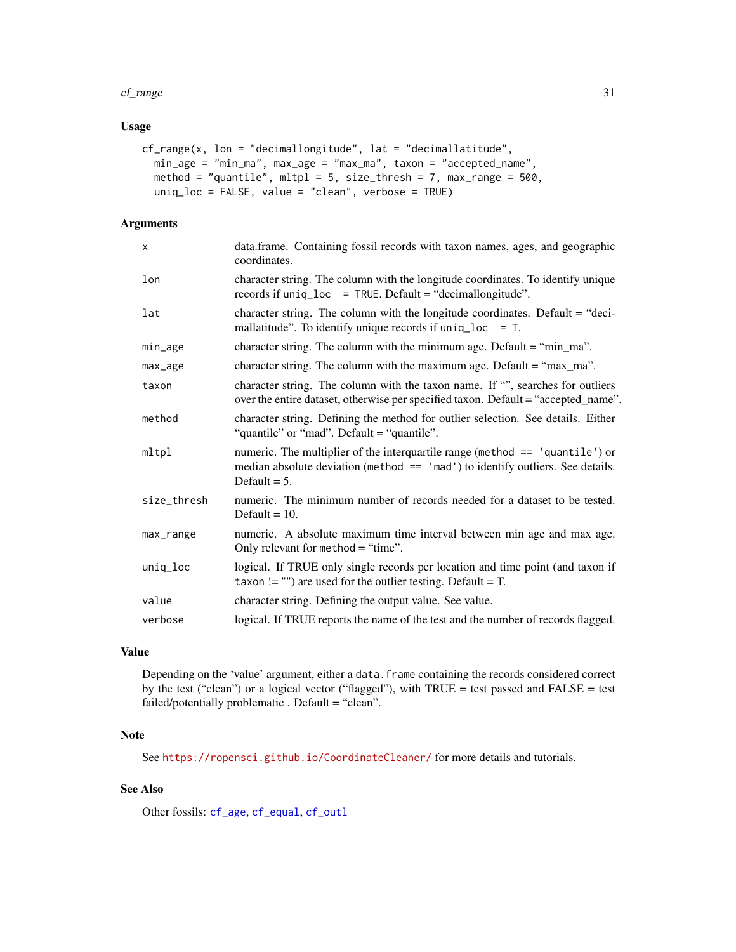#### <span id="page-30-0"></span>cf\_range 31

# Usage

```
cf\_range(x, \text{lon} = "decimallongitude", \text{lat} = "decimal lattice",min_age = "min_ma", max_age = "max_ma", taxon = "accepted_name",
 method = "quantile", mlp1 = 5, size_thresh = 7, max_range = 500,
  uniq_loc = FALSE, value = "clean", verbose = TRUE)
```
# Arguments

| $\mathsf{x}$ | data.frame. Containing fossil records with taxon names, ages, and geographic<br>coordinates.                                                                                          |
|--------------|---------------------------------------------------------------------------------------------------------------------------------------------------------------------------------------|
| lon          | character string. The column with the longitude coordinates. To identify unique<br>records if $unique$ = TRUE. Default = "decimal longitude".                                         |
| lat          | character string. The column with the longitude coordinates. Default = "deci-<br>mallatitude". To identify unique records if $uniq\_loc = T$ .                                        |
| min_age      | character string. The column with the minimum age. Default = "min_ma".                                                                                                                |
| max_age      | character string. The column with the maximum age. Default = " $max_{max}$ ".                                                                                                         |
| taxon        | character string. The column with the taxon name. If "", searches for outliers<br>over the entire dataset, otherwise per specified taxon. Default = "accepted_name".                  |
| method       | character string. Defining the method for outlier selection. See details. Either<br>"quantile" or "mad". Default = "quantile".                                                        |
| mltpl        | numeric. The multiplier of the interquartile range (method == 'quantile') or<br>median absolute deviation ( $method == 'mad'$ ) to identify outliers. See details.<br>Default $= 5$ . |
| size_thresh  | numeric. The minimum number of records needed for a dataset to be tested.<br>Default = $10$ .                                                                                         |
| max_range    | numeric. A absolute maximum time interval between min age and max age.<br>Only relevant for method $=$ "time".                                                                        |
| uniq_loc     | logical. If TRUE only single records per location and time point (and taxon if<br>taxon != "") are used for the outlier testing. Default = $T$ .                                      |
| value        | character string. Defining the output value. See value.                                                                                                                               |
| verbose      | logical. If TRUE reports the name of the test and the number of records flagged.                                                                                                      |
|              |                                                                                                                                                                                       |

# Value

Depending on the 'value' argument, either a data.frame containing the records considered correct by the test ("clean") or a logical vector ("flagged"), with TRUE = test passed and FALSE = test failed/potentially problematic . Default = "clean".

# Note

See <https://ropensci.github.io/CoordinateCleaner/> for more details and tutorials.

# See Also

Other fossils: [cf\\_age](#page-25-1), [cf\\_equal](#page-27-1), [cf\\_outl](#page-28-1)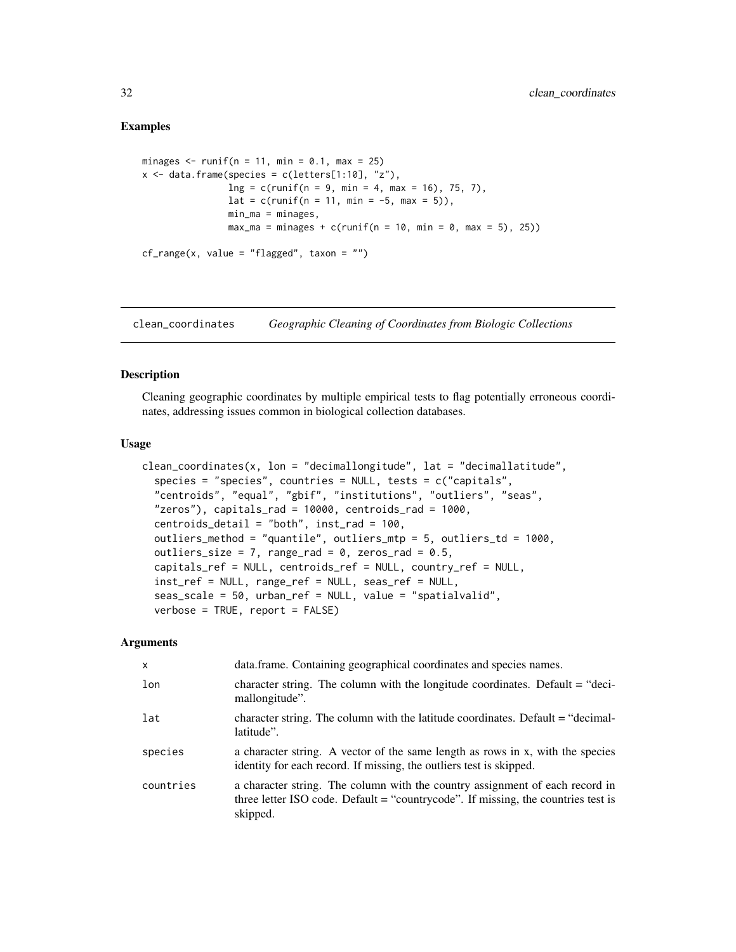#### <span id="page-31-0"></span>Examples

```
minages \le- runif(n = 11, min = 0.1, max = 25)
x \le - data.frame(species = c(letters[1:10], "z"),
                 \ln g = c(\text{runif}(n = 9, \text{min} = 4, \text{max} = 16), 75, 7),lat = c(runif(n = 11, min = -5, max = 5)),min_ma = minages,
                 max_{ma} = minages + c(runif(n = 10, min = 0, max = 5), 25))cf_range(x, value = "flagged", taxon = "")
```
<span id="page-31-1"></span>clean\_coordinates *Geographic Cleaning of Coordinates from Biologic Collections*

# <span id="page-31-2"></span>Description

Cleaning geographic coordinates by multiple empirical tests to flag potentially erroneous coordinates, addressing issues common in biological collection databases.

#### Usage

```
clean_coordinates(x, lon = "decimallongitude", lat = "decimallatitude",
  species = "species", countries = NULL, tests = c("capitals",
  "centroids", "equal", "gbif", "institutions", "outliers", "seas",
  "zeros"), capitals_rad = 10000, centroids_rad = 1000,
  centroids_detail = "both", inst_rad = 100,
  outliers_method = "quantile", outliers_mtp = 5, outliers_td = 1000,
  outliers_size = 7, range_rad = 0, zeros_rad = 0.5,
  capitals_ref = NULL, centroids_ref = NULL, country_ref = NULL,
  inst_ref = NULL, range_ref = NULL, seas_ref = NULL,
  seas_scale = 50, urban_ref = NULL, value = "spatialvalid",
  verbose = TRUE, report = FALSE)
```

| $\mathsf{x}$ | data.frame. Containing geographical coordinates and species names.                                                                                                            |
|--------------|-------------------------------------------------------------------------------------------------------------------------------------------------------------------------------|
| lon          | character string. The column with the longitude coordinates. Default $=$ "deci-<br>mallongitude".                                                                             |
| lat          | character string. The column with the latitude coordinates. Default = "decimal-<br>latitude".                                                                                 |
| species      | a character string. A vector of the same length as rows in x, with the species<br>identity for each record. If missing, the outliers test is skipped.                         |
| countries    | a character string. The column with the country assignment of each record in<br>three letter ISO code. Default = "countrycode". If missing, the countries test is<br>skipped. |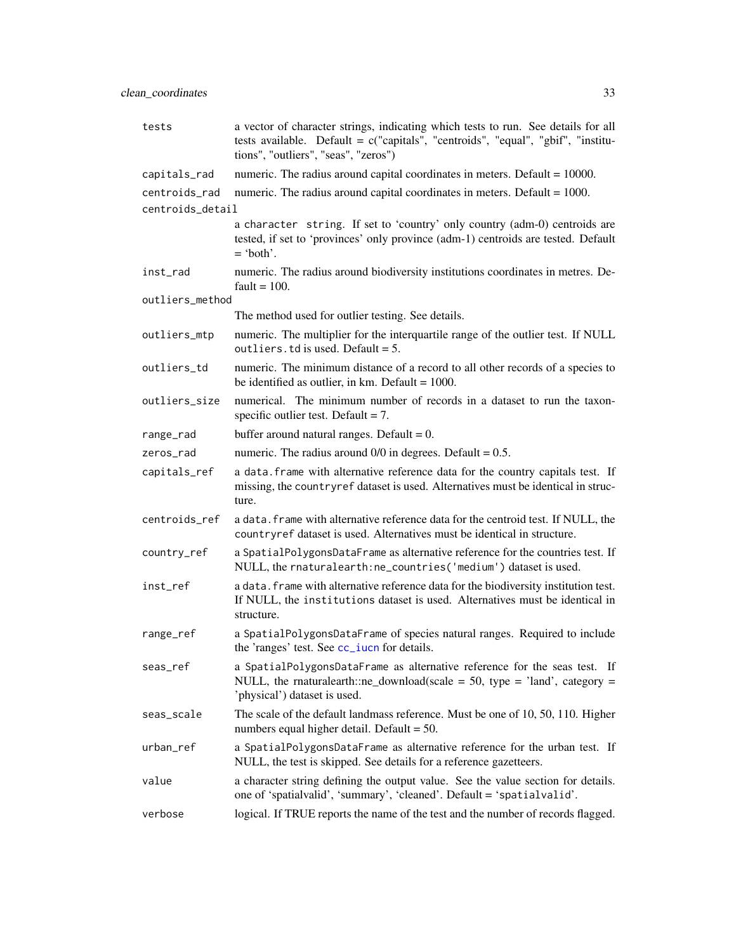<span id="page-32-0"></span>

| tests            | a vector of character strings, indicating which tests to run. See details for all<br>tests available. Default = $c("capitals", "centroids", "equal", "gbif", "institu-$<br>tions", "outliers", "seas", "zeros") |
|------------------|-----------------------------------------------------------------------------------------------------------------------------------------------------------------------------------------------------------------|
| capitals_rad     | numeric. The radius around capital coordinates in meters. Default $= 10000$ .                                                                                                                                   |
| centroids_rad    | numeric. The radius around capital coordinates in meters. Default $= 1000$ .                                                                                                                                    |
| centroids_detail |                                                                                                                                                                                                                 |
|                  | a character string. If set to 'country' only country (adm-0) centroids are<br>tested, if set to 'provinces' only province (adm-1) centroids are tested. Default<br>$=$ 'both'.                                  |
| inst_rad         | numeric. The radius around biodiversity institutions coordinates in metres. De-<br>fault $= 100$ .                                                                                                              |
| outliers_method  |                                                                                                                                                                                                                 |
|                  | The method used for outlier testing. See details.                                                                                                                                                               |
| outliers_mtp     | numeric. The multiplier for the interquartile range of the outlier test. If NULL<br>outliers. td is used. Default = $5$ .                                                                                       |
| outliers_td      | numeric. The minimum distance of a record to all other records of a species to<br>be identified as outlier, in km. Default = $1000$ .                                                                           |
| outliers_size    | numerical. The minimum number of records in a dataset to run the taxon-<br>specific outlier test. Default = $7$ .                                                                                               |
| range_rad        | buffer around natural ranges. Default = $0$ .                                                                                                                                                                   |
| zeros rad        | numeric. The radius around $0/0$ in degrees. Default = 0.5.                                                                                                                                                     |
| capitals_ref     | a data. frame with alternative reference data for the country capitals test. If<br>missing, the countryref dataset is used. Alternatives must be identical in struc-<br>ture.                                   |
| centroids_ref    | a data. frame with alternative reference data for the centroid test. If NULL, the<br>countryref dataset is used. Alternatives must be identical in structure.                                                   |
| country_ref      | a SpatialPolygonsDataFrame as alternative reference for the countries test. If<br>NULL, the rnaturalearth: ne_countries ('medium') dataset is used.                                                             |
| inst_ref         | a data. frame with alternative reference data for the biodiversity institution test.<br>If NULL, the institutions dataset is used. Alternatives must be identical in<br>structure.                              |
| range_ref        | a SpatialPolygonsDataFrame of species natural ranges. Required to include<br>the 'ranges' test. See cc_iucn for details.                                                                                        |
| seas_ref         | a SpatialPolygonsDataFrame as alternative reference for the seas test. If<br>NULL, the rnaturalearth::ne_download(scale = 50, type = 'land', category =<br>'physical') dataset is used.                         |
| seas_scale       | The scale of the default landmass reference. Must be one of 10, 50, 110. Higher<br>numbers equal higher detail. Default $= 50$ .                                                                                |
| urban_ref        | a SpatialPolygonsDataFrame as alternative reference for the urban test. If<br>NULL, the test is skipped. See details for a reference gazetteers.                                                                |
| value            | a character string defining the output value. See the value section for details.<br>one of 'spatialvalid', 'summary', 'cleaned'. Default = 'spatialvalid'.                                                      |
| verbose          | logical. If TRUE reports the name of the test and the number of records flagged.                                                                                                                                |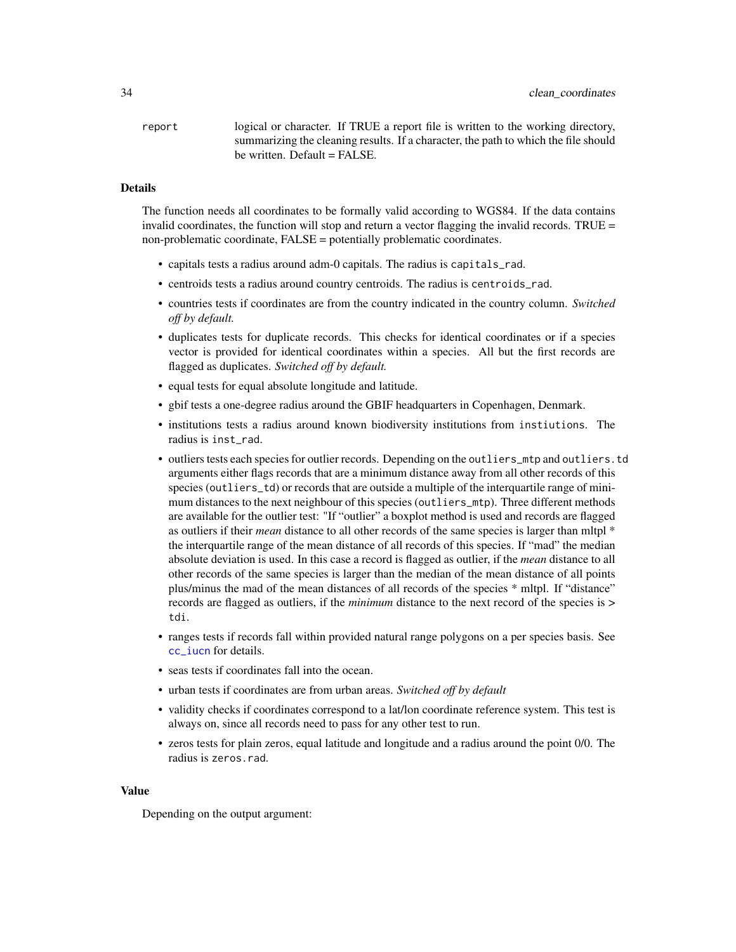<span id="page-33-0"></span>report logical or character. If TRUE a report file is written to the working directory, summarizing the cleaning results. If a character, the path to which the file should be written. Default = FALSE.

# **Details**

The function needs all coordinates to be formally valid according to WGS84. If the data contains invalid coordinates, the function will stop and return a vector flagging the invalid records. TRUE  $=$ non-problematic coordinate, FALSE = potentially problematic coordinates.

- capitals tests a radius around adm-0 capitals. The radius is capitals\_rad.
- centroids tests a radius around country centroids. The radius is centroids\_rad.
- countries tests if coordinates are from the country indicated in the country column. *Switched off by default.*
- duplicates tests for duplicate records. This checks for identical coordinates or if a species vector is provided for identical coordinates within a species. All but the first records are flagged as duplicates. *Switched off by default.*
- equal tests for equal absolute longitude and latitude.
- gbif tests a one-degree radius around the GBIF headquarters in Copenhagen, Denmark.
- institutions tests a radius around known biodiversity institutions from instiutions. The radius is inst\_rad.
- outliers tests each species for outlier records. Depending on the outliers\_mtp and outliers.td arguments either flags records that are a minimum distance away from all other records of this species (outliers\_td) or records that are outside a multiple of the interquartile range of minimum distances to the next neighbour of this species (outliers\_mtp). Three different methods are available for the outlier test: "If "outlier" a boxplot method is used and records are flagged as outliers if their *mean* distance to all other records of the same species is larger than mltpl \* the interquartile range of the mean distance of all records of this species. If "mad" the median absolute deviation is used. In this case a record is flagged as outlier, if the *mean* distance to all other records of the same species is larger than the median of the mean distance of all points plus/minus the mad of the mean distances of all records of the species \* mltpl. If "distance" records are flagged as outliers, if the *minimum* distance to the next record of the species is > tdi.
- ranges tests if records fall within provided natural range polygons on a per species basis. See [cc\\_iucn](#page-12-1) for details.
- seas tests if coordinates fall into the ocean.
- urban tests if coordinates are from urban areas. *Switched off by default*
- validity checks if coordinates correspond to a lat/lon coordinate reference system. This test is always on, since all records need to pass for any other test to run.
- zeros tests for plain zeros, equal latitude and longitude and a radius around the point 0/0. The radius is zeros.rad.

#### Value

Depending on the output argument: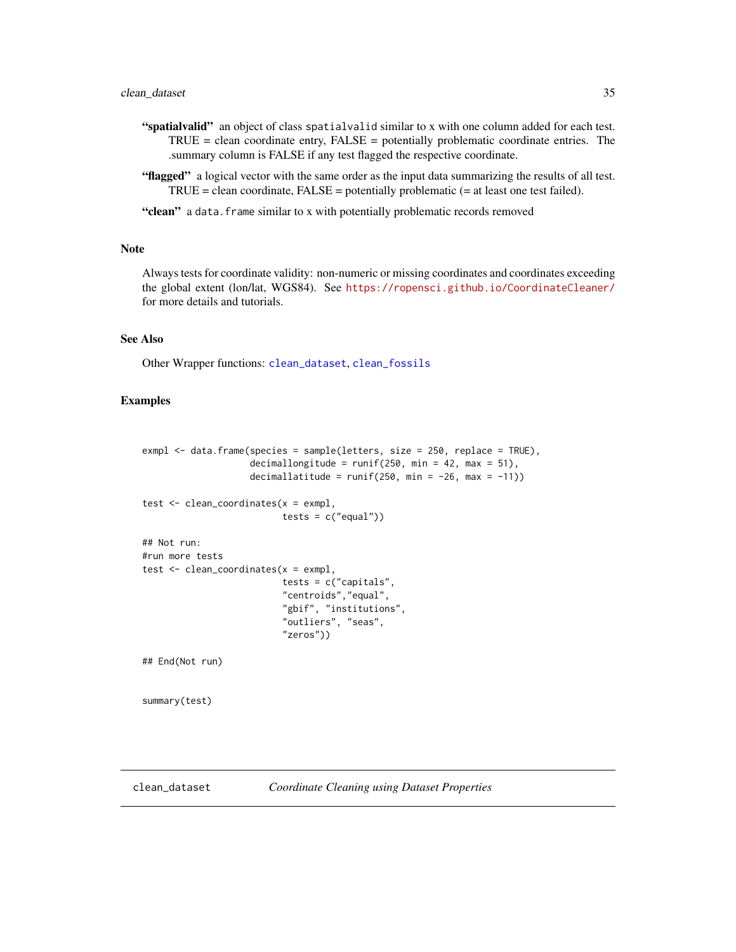# <span id="page-34-0"></span>clean\_dataset 35

- "spatialvalid" an object of class spatialvalid similar to x with one column added for each test.  $TRUE = clean coordinate entry, FALSE = potentially problematic coordinate entries. The$ .summary column is FALSE if any test flagged the respective coordinate.
- "flagged" a logical vector with the same order as the input data summarizing the results of all test.  $TRUE = clean coordinate, FALSE = potentially problematic (= at least one test failed).$

"clean" a data.frame similar to x with potentially problematic records removed

#### Note

Always tests for coordinate validity: non-numeric or missing coordinates and coordinates exceeding the global extent (lon/lat, WGS84). See <https://ropensci.github.io/CoordinateCleaner/> for more details and tutorials.

# See Also

Other Wrapper functions: [clean\\_dataset](#page-34-1), [clean\\_fossils](#page-37-1)

# Examples

```
exmpl <- data.frame(species = sample(letters, size = 250, replace = TRUE),
                     decimallongitude = runif(250, min = 42, max = 51),
                     decimallatitude = runif(250, min = -26, max = -11))
test \leq clean_coordinates(x = \text{exmpl},
                           tests = c("equal"))## Not run:
#run more tests
test \leq clean_coordinates(x = \text{exmp1},
                           tests = c("capitals",
                           "centroids","equal",
                           "gbif", "institutions",
                           "outliers", "seas",
                           "zeros"))
## End(Not run)
summary(test)
```
<span id="page-34-2"></span>

<span id="page-34-1"></span>clean\_dataset *Coordinate Cleaning using Dataset Properties*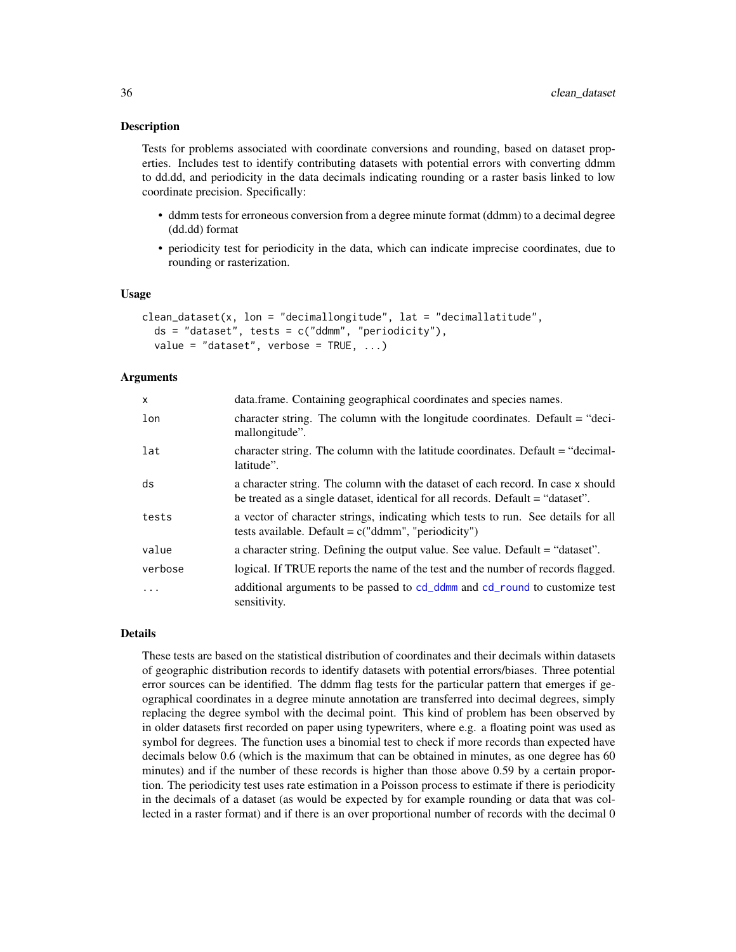<span id="page-35-0"></span>Tests for problems associated with coordinate conversions and rounding, based on dataset properties. Includes test to identify contributing datasets with potential errors with converting ddmm to dd.dd, and periodicity in the data decimals indicating rounding or a raster basis linked to low coordinate precision. Specifically:

- ddmm tests for erroneous conversion from a degree minute format (ddmm) to a decimal degree (dd.dd) format
- periodicity test for periodicity in the data, which can indicate imprecise coordinates, due to rounding or rasterization.

#### Usage

```
clean_dataset(x, lon = "decimallongitude", lat = "decimallatitude",
  ds = "dataset", tests = c("ddmm", "periodicity"),value = "dataset", verbose = TRUE, ...)
```
# Arguments

| $\mathsf{x}$ | data.frame. Containing geographical coordinates and species names.                                                                                                  |
|--------------|---------------------------------------------------------------------------------------------------------------------------------------------------------------------|
| lon          | character string. The column with the longitude coordinates. Default = "deci-<br>mallongitude".                                                                     |
| lat          | character string. The column with the latitude coordinates. Default = "decimal-<br>latitude".                                                                       |
| ds           | a character string. The column with the dataset of each record. In case x should<br>be treated as a single dataset, identical for all records. Default = "dataset". |
| tests        | a vector of character strings, indicating which tests to run. See details for all<br>tests available. Default = $c("ddmm", "periodicity")$                          |
| value        | a character string. Defining the output value. See value. Default = "dataset".                                                                                      |
| verbose      | logical. If TRUE reports the name of the test and the number of records flagged.                                                                                    |
| $\cdot$      | additional arguments to be passed to cd_ddmm and cd_round to customize test<br>sensitivity.                                                                         |

#### Details

These tests are based on the statistical distribution of coordinates and their decimals within datasets of geographic distribution records to identify datasets with potential errors/biases. Three potential error sources can be identified. The ddmm flag tests for the particular pattern that emerges if geographical coordinates in a degree minute annotation are transferred into decimal degrees, simply replacing the degree symbol with the decimal point. This kind of problem has been observed by in older datasets first recorded on paper using typewriters, where e.g. a floating point was used as symbol for degrees. The function uses a binomial test to check if more records than expected have decimals below 0.6 (which is the maximum that can be obtained in minutes, as one degree has 60 minutes) and if the number of these records is higher than those above 0.59 by a certain proportion. The periodicity test uses rate estimation in a Poisson process to estimate if there is periodicity in the decimals of a dataset (as would be expected by for example rounding or data that was collected in a raster format) and if there is an over proportional number of records with the decimal 0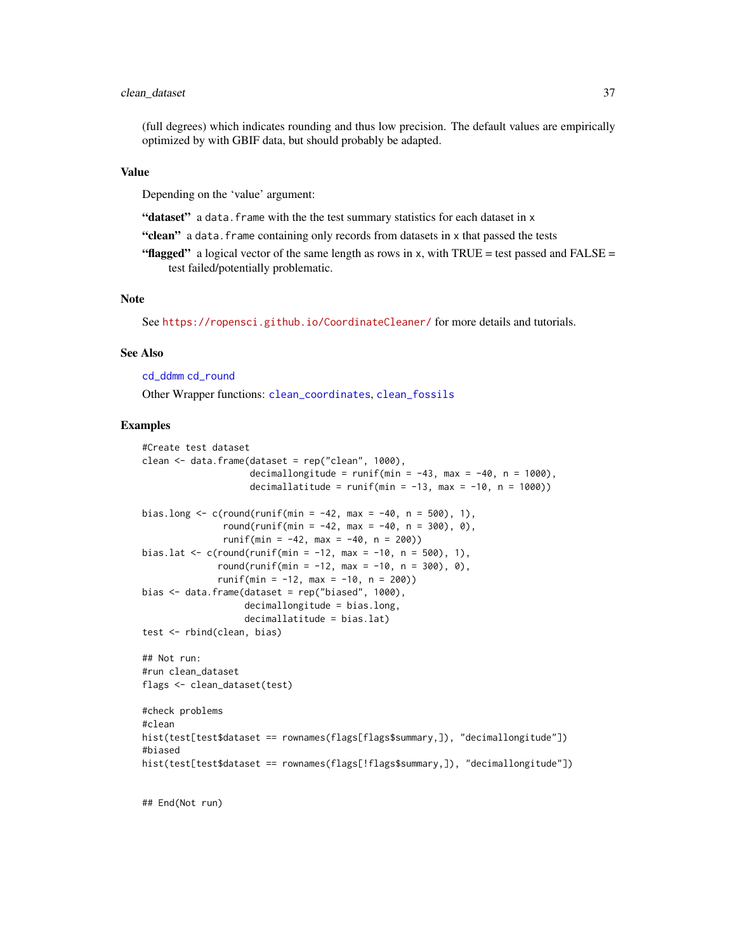# <span id="page-36-0"></span>clean\_dataset 37

(full degrees) which indicates rounding and thus low precision. The default values are empirically optimized by with GBIF data, but should probably be adapted.

#### Value

Depending on the 'value' argument:

"dataset" a data.frame with the the test summary statistics for each dataset in x

"clean" a data. frame containing only records from datasets in x that passed the tests

"flagged" a logical vector of the same length as rows in x, with TRUE = test passed and FALSE = test failed/potentially problematic.

#### **Note**

See <https://ropensci.github.io/CoordinateCleaner/> for more details and tutorials.

# See Also

[cd\\_ddmm](#page-21-1) [cd\\_round](#page-23-1)

Other Wrapper functions: [clean\\_coordinates](#page-31-1), [clean\\_fossils](#page-37-1)

#### Examples

```
#Create test dataset
clean \leq data.frame(dataset = rep("clean", 1000),
                    decimallongitude = runif(min = -43, max = -40, n = 1000),
                    decimallatitude = runif(min = -13, max = -10, n = 1000))
bias.long \leq c(round(runif(min = -42, max = -40, n = 500), 1),
               round(runif(min = -42, max = -40, n = 300), 0),
               runif(min = -42, max = -40, n = 200))
bias.lat <- c(round(runif(min = -12, max = -10, n = 500), 1),
              round(runif(min = -12, max = -10, n = 300), 0),
              runif(min = -12, max = -10, n = 200))
bias \leq data.frame(dataset = rep("biased", 1000),
                   decimallongitude = bias.long,
                   decimallatitude = bias.lat)
test <- rbind(clean, bias)
## Not run:
#run clean_dataset
flags <- clean_dataset(test)
#check problems
#clean
hist(test[test$dataset == rownames(flags[flags$summary,]), "decimallongitude"])
#biased
hist(test[test$dataset == rownames(flags[!flags$summary,]), "decimallongitude"])
```
## End(Not run)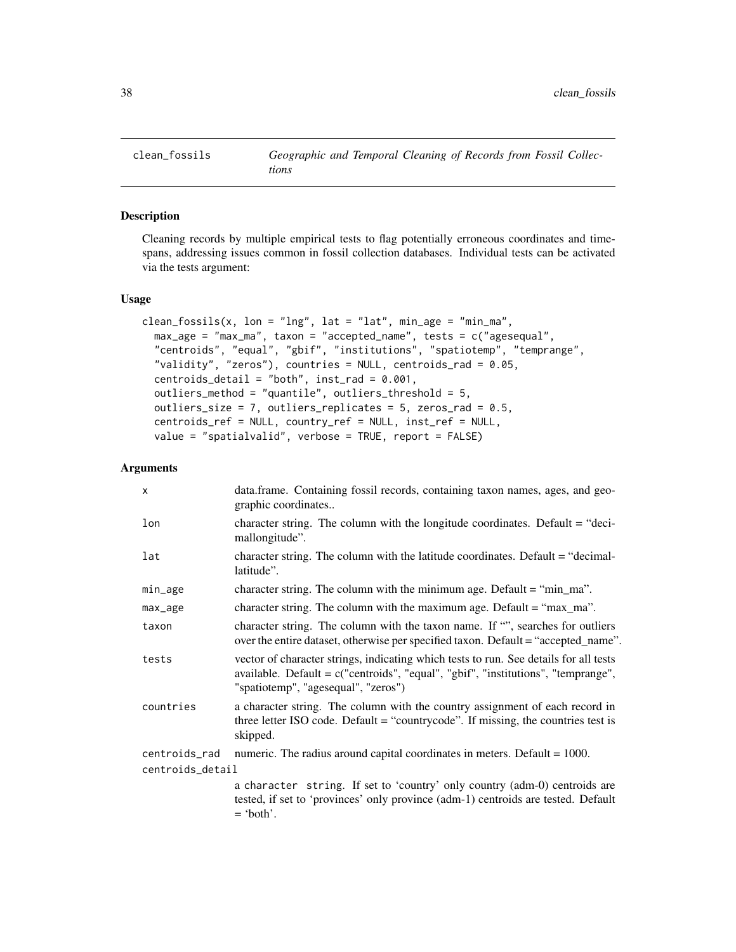<span id="page-37-2"></span><span id="page-37-1"></span><span id="page-37-0"></span>

Cleaning records by multiple empirical tests to flag potentially erroneous coordinates and timespans, addressing issues common in fossil collection databases. Individual tests can be activated via the tests argument:

#### Usage

```
clean_fossils(x, lon = "lng", lat = "lat", min_age = "min_ma",
  max_age = "max_ma", taxon = "accepted_name", tests = c("agesequal",
  "centroids", "equal", "gbif", "institutions", "spatiotemp", "temprange",
  "validity", "zeros"), countries = NULL, centroids_rad = 0.05,
  centroids_detail = "both", inst\_rad = 0.001,
  outliers_method = "quantile", outliers_threshold = 5,
  outliers_size = 7, outliers_replicates = 5, zeros_rad = 0.5,
  centroids_ref = NULL, country_ref = NULL, inst_ref = NULL,
  value = "spatialvalid", verbose = TRUE, report = FALSE)
```

| X                | data.frame. Containing fossil records, containing taxon names, ages, and geo-<br>graphic coordinates                                                                                                                |
|------------------|---------------------------------------------------------------------------------------------------------------------------------------------------------------------------------------------------------------------|
| lon              | character string. The column with the longitude coordinates. Default = "deci-<br>mallongitude".                                                                                                                     |
| lat              | character string. The column with the latitude coordinates. Default $=$ "decimal-<br>latitude".                                                                                                                     |
| min_age          | character string. The column with the minimum age. Default $=$ "min_ma".                                                                                                                                            |
| max_age          | character string. The column with the maximum age. Default $=$ "max_ma".                                                                                                                                            |
| taxon            | character string. The column with the taxon name. If "", searches for outliers<br>over the entire dataset, otherwise per specified taxon. Default = "accepted_name".                                                |
| tests            | vector of character strings, indicating which tests to run. See details for all tests<br>available. Default = $c("centroids", "equal", "gbif", "institutions", "temprange",$<br>"spatiotemp", "agesequal", "zeros") |
| countries        | a character string. The column with the country assignment of each record in<br>three letter ISO code. Default = "countrycode". If missing, the countries test is<br>skipped.                                       |
| centroids_rad    | numeric. The radius around capital coordinates in meters. Default $= 1000$ .                                                                                                                                        |
| centroids_detail |                                                                                                                                                                                                                     |
|                  | a character string. If set to 'country' only country (adm-0) centroids are<br>tested, if set to 'provinces' only province (adm-1) centroids are tested. Default<br>$=$ 'both'.                                      |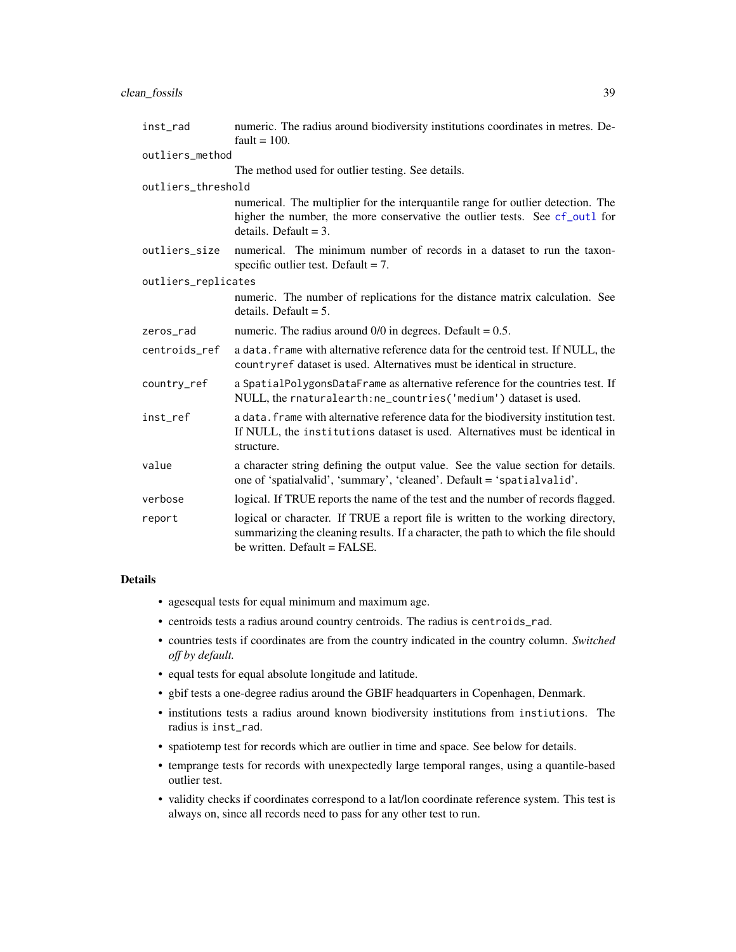<span id="page-38-0"></span>

| inst_rad            | numeric. The radius around biodiversity institutions coordinates in metres. De-<br>fault = $100$ .                                                                                                      |
|---------------------|---------------------------------------------------------------------------------------------------------------------------------------------------------------------------------------------------------|
| outliers method     |                                                                                                                                                                                                         |
|                     | The method used for outlier testing. See details.                                                                                                                                                       |
| outliers_threshold  |                                                                                                                                                                                                         |
|                     | numerical. The multiplier for the interquantile range for outlier detection. The<br>higher the number, the more conservative the outlier tests. See cf_out1 for<br>details. Default = $3$ .             |
| outliers_size       | numerical. The minimum number of records in a dataset to run the taxon-<br>specific outlier test. Default $= 7$ .                                                                                       |
| outliers_replicates |                                                                                                                                                                                                         |
|                     | numeric. The number of replications for the distance matrix calculation. See<br>details. Default $= 5$ .                                                                                                |
| zeros_rad           | numeric. The radius around $0/0$ in degrees. Default = 0.5.                                                                                                                                             |
| centroids_ref       | a data. frame with alternative reference data for the centroid test. If NULL, the<br>countryref dataset is used. Alternatives must be identical in structure.                                           |
| country_ref         | a SpatialPolygonsDataFrame as alternative reference for the countries test. If<br>NULL, the rnaturalearth: ne_countries ('medium') dataset is used.                                                     |
| inst_ref            | a data. frame with alternative reference data for the biodiversity institution test.<br>If NULL, the institutions dataset is used. Alternatives must be identical in<br>structure.                      |
| value               | a character string defining the output value. See the value section for details.<br>one of 'spatialvalid', 'summary', 'cleaned'. Default = 'spatialvalid'.                                              |
| verbose             | logical. If TRUE reports the name of the test and the number of records flagged.                                                                                                                        |
| report              | logical or character. If TRUE a report file is written to the working directory,<br>summarizing the cleaning results. If a character, the path to which the file should<br>be written. Default = FALSE. |

# Details

- agesequal tests for equal minimum and maximum age.
- centroids tests a radius around country centroids. The radius is centroids\_rad.
- countries tests if coordinates are from the country indicated in the country column. *Switched off by default.*
- equal tests for equal absolute longitude and latitude.
- gbif tests a one-degree radius around the GBIF headquarters in Copenhagen, Denmark.
- institutions tests a radius around known biodiversity institutions from instiutions. The radius is inst\_rad.
- spatiotemp test for records which are outlier in time and space. See below for details.
- temprange tests for records with unexpectedly large temporal ranges, using a quantile-based outlier test.
- validity checks if coordinates correspond to a lat/lon coordinate reference system. This test is always on, since all records need to pass for any other test to run.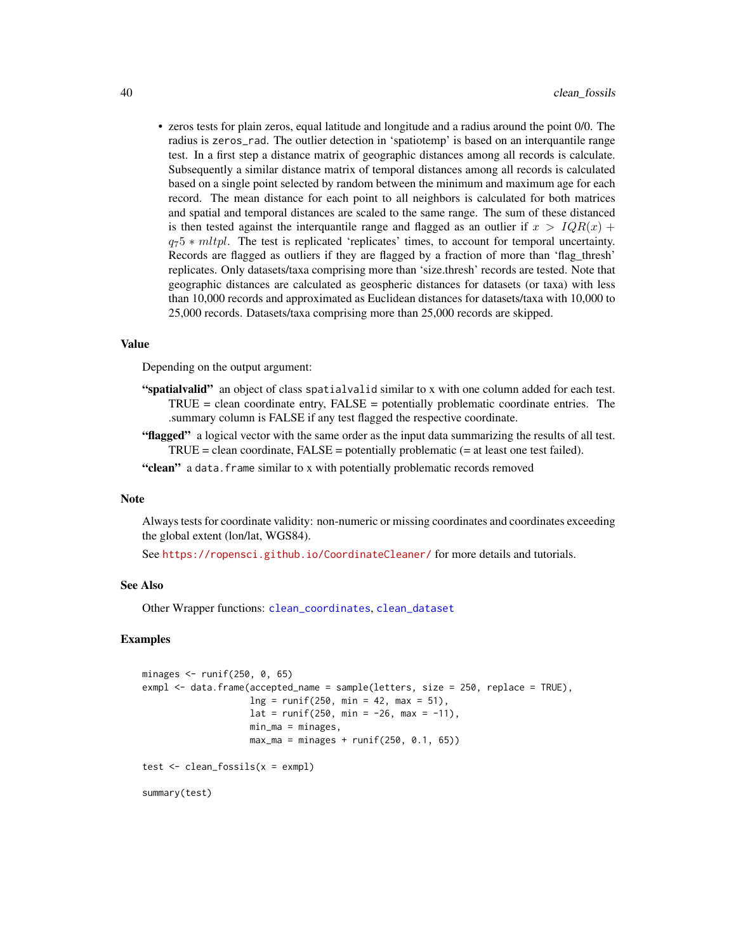<span id="page-39-0"></span>• zeros tests for plain zeros, equal latitude and longitude and a radius around the point 0/0. The radius is zeros\_rad. The outlier detection in 'spatiotemp' is based on an interquantile range test. In a first step a distance matrix of geographic distances among all records is calculate. Subsequently a similar distance matrix of temporal distances among all records is calculated based on a single point selected by random between the minimum and maximum age for each record. The mean distance for each point to all neighbors is calculated for both matrices and spatial and temporal distances are scaled to the same range. The sum of these distanced is then tested against the interquantile range and flagged as an outlier if  $x > IQR(x)$  +  $q_75 * mltpl$ . The test is replicated 'replicates' times, to account for temporal uncertainty. Records are flagged as outliers if they are flagged by a fraction of more than 'flag\_thresh' replicates. Only datasets/taxa comprising more than 'size.thresh' records are tested. Note that geographic distances are calculated as geospheric distances for datasets (or taxa) with less than 10,000 records and approximated as Euclidean distances for datasets/taxa with 10,000 to 25,000 records. Datasets/taxa comprising more than 25,000 records are skipped.

# Value

Depending on the output argument:

- "spatialvalid" an object of class spatialvalid similar to x with one column added for each test. TRUE = clean coordinate entry, FALSE = potentially problematic coordinate entries. The .summary column is FALSE if any test flagged the respective coordinate.
- "flagged" a logical vector with the same order as the input data summarizing the results of all test.  $TRUE = clean coordinate, FALSE = potentially problematic (= at least one test failed).$
- "clean" a data.frame similar to x with potentially problematic records removed

#### **Note**

Always tests for coordinate validity: non-numeric or missing coordinates and coordinates exceeding the global extent (lon/lat, WGS84).

See <https://ropensci.github.io/CoordinateCleaner/> for more details and tutorials.

#### See Also

Other Wrapper functions: [clean\\_coordinates](#page-31-1), [clean\\_dataset](#page-34-1)

# Examples

```
minages <- runif(250, 0, 65)
exmpl <- data.frame(accepted_name = sample(letters, size = 250, replace = TRUE),
                    ln g = runif(250, min = 42, max = 51),lat = runif(250, min = -26, max = -11),min_m = minages,max_{max} = minages + runif(250, 0.1, 65))test <- clean_fossils(x = exmpl)
```
summary(test)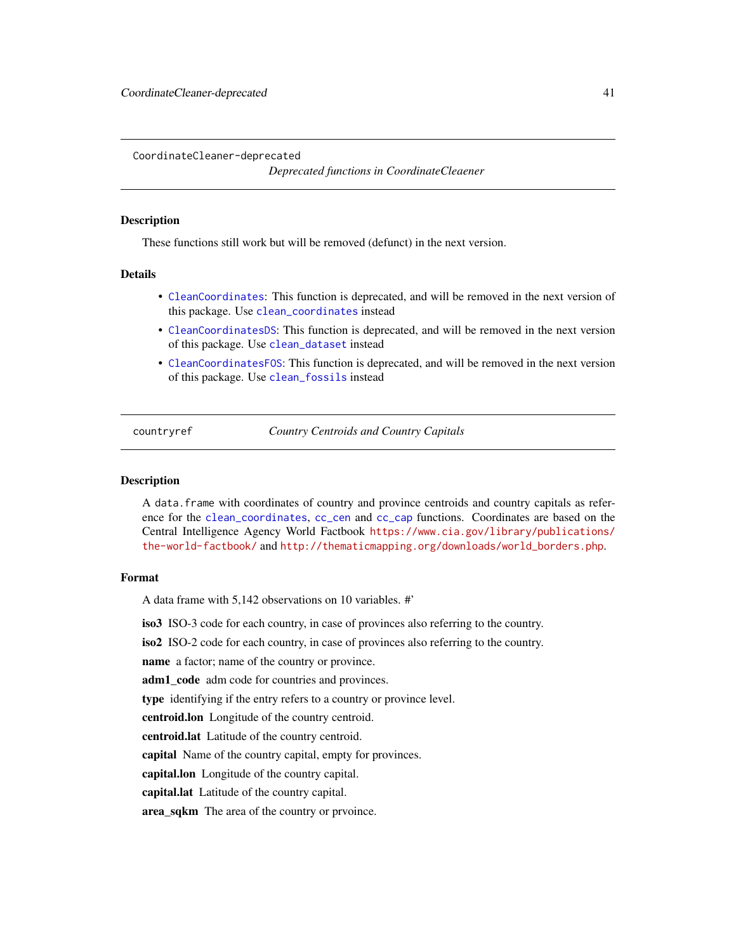<span id="page-40-0"></span>CoordinateCleaner-deprecated

*Deprecated functions in CoordinateCleaener*

#### Description

These functions still work but will be removed (defunct) in the next version.

# Details

- [CleanCoordinates](#page-31-2): This function is deprecated, and will be removed in the next version of this package. Use [clean\\_coordinates](#page-31-1) instead
- [CleanCoordinatesDS](#page-34-2): This function is deprecated, and will be removed in the next version of this package. Use [clean\\_dataset](#page-34-1) instead
- [CleanCoordinatesFOS](#page-37-2): This function is deprecated, and will be removed in the next version of this package. Use [clean\\_fossils](#page-37-1) instead

<span id="page-40-1"></span>countryref *Country Centroids and Country Capitals*

#### Description

A data.frame with coordinates of country and province centroids and country capitals as reference for the [clean\\_coordinates](#page-31-1), [cc\\_cen](#page-4-1) and [cc\\_cap](#page-3-1) functions. Coordinates are based on the Central Intelligence Agency World Factbook [https://www.cia.gov/library/publications/](https://www.cia.gov/library/publications/the-world-factbook/) [the-world-factbook/](https://www.cia.gov/library/publications/the-world-factbook/) and [http://thematicmapping.org/downloads/world\\_borders.php](http://thematicmapping.org/downloads/world_borders.php).

#### Format

A data frame with 5,142 observations on 10 variables. #'

iso3 ISO-3 code for each country, in case of provinces also referring to the country.

iso2 ISO-2 code for each country, in case of provinces also referring to the country.

name a factor; name of the country or province.

adm1\_code adm code for countries and provinces.

type identifying if the entry refers to a country or province level.

centroid.lon Longitude of the country centroid.

centroid.lat Latitude of the country centroid.

capital Name of the country capital, empty for provinces.

capital.lon Longitude of the country capital.

capital.lat Latitude of the country capital.

area\_sqkm The area of the country or prvoince.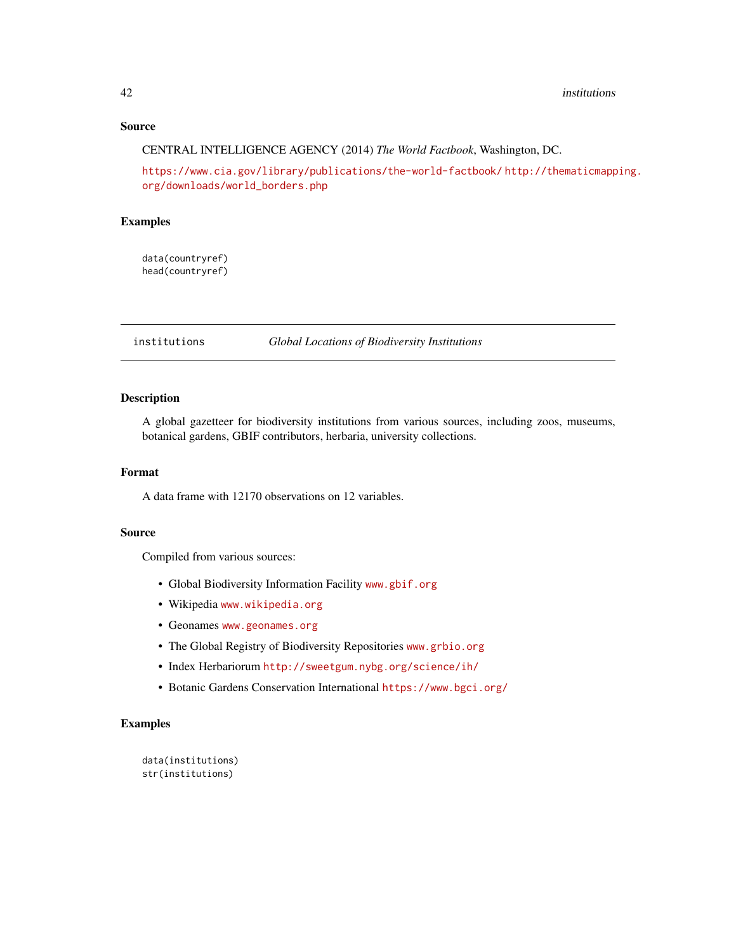# <span id="page-41-0"></span>Source

CENTRAL INTELLIGENCE AGENCY (2014) *The World Factbook*, Washington, DC.

<https://www.cia.gov/library/publications/the-world-factbook/> [http://thematicmapp](http://thematicmapping.org/downloads/world_borders.php)ing. [org/downloads/world\\_borders.php](http://thematicmapping.org/downloads/world_borders.php)

#### Examples

data(countryref) head(countryref)

<span id="page-41-1"></span>institutions *Global Locations of Biodiversity Institutions*

# Description

A global gazetteer for biodiversity institutions from various sources, including zoos, museums, botanical gardens, GBIF contributors, herbaria, university collections.

#### Format

A data frame with 12170 observations on 12 variables.

#### Source

Compiled from various sources:

- Global Biodiversity Information Facility <www.gbif.org>
- Wikipedia <www.wikipedia.org>
- Geonames <www.geonames.org>
- The Global Registry of Biodiversity Repositories <www.grbio.org>
- Index Herbariorum <http://sweetgum.nybg.org/science/ih/>
- Botanic Gardens Conservation International <https://www.bgci.org/>

```
data(institutions)
str(institutions)
```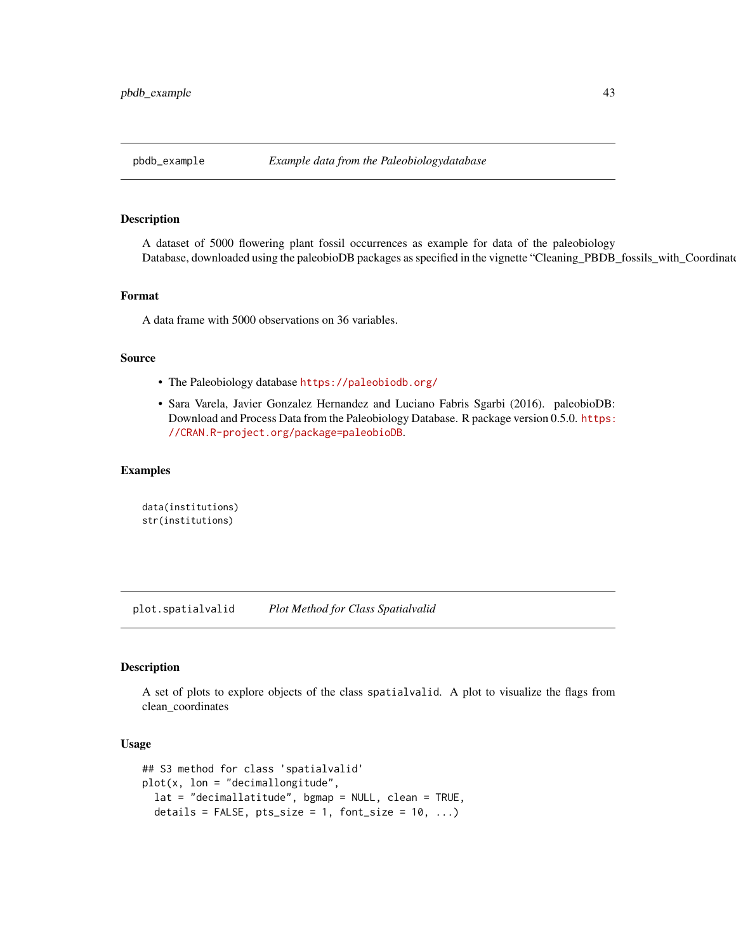<span id="page-42-0"></span>

A dataset of 5000 flowering plant fossil occurrences as example for data of the paleobiology Database, downloaded using the paleobioDB packages as specified in the vignette "Cleaning\_PBDB\_fossils\_with\_Coordinate

#### Format

A data frame with 5000 observations on 36 variables.

#### Source

- The Paleobiology database <https://paleobiodb.org/>
- Sara Varela, Javier Gonzalez Hernandez and Luciano Fabris Sgarbi (2016). paleobioDB: Download and Process Data from the Paleobiology Database. R package version 0.5.0. [https:](https://CRAN.R-project.org/package=paleobioDB) [//CRAN.R-project.org/package=paleobioDB](https://CRAN.R-project.org/package=paleobioDB).

# Examples

```
data(institutions)
str(institutions)
```
plot.spatialvalid *Plot Method for Class Spatialvalid*

# Description

A set of plots to explore objects of the class spatialvalid. A plot to visualize the flags from clean\_coordinates

# Usage

```
## S3 method for class 'spatialvalid'
plot(x, \text{lon} = "decimallongitude",lat = "decimallatitude", bgmap = NULL, clean = TRUE,
  details = FALSE, pts\_size = 1, font_size = 10, ...)
```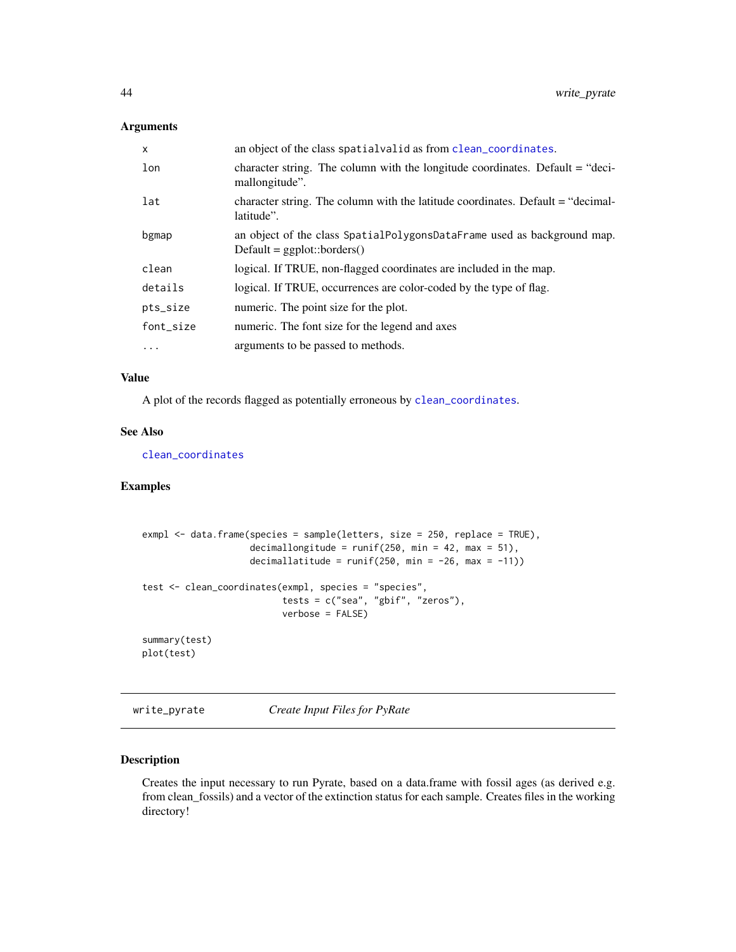# <span id="page-43-0"></span>Arguments

| $\mathsf{x}$ | an object of the class spatial valid as from clean_coordinates.                                          |
|--------------|----------------------------------------------------------------------------------------------------------|
| lon          | character string. The column with the longitude coordinates. Default $=$ "deci-<br>mallongitude".        |
| lat          | character string. The column with the latitude coordinates. Default = "decimal-<br>latitude".            |
| bgmap        | an object of the class SpatialPolygonsDataFrame used as background map.<br>$Default = ggplot::borders()$ |
| clean        | logical. If TRUE, non-flagged coordinates are included in the map.                                       |
| details      | logical. If TRUE, occurrences are color-coded by the type of flag.                                       |
| pts_size     | numeric. The point size for the plot.                                                                    |
| font_size    | numeric. The font size for the legend and axes                                                           |
| $\ddotsc$    | arguments to be passed to methods.                                                                       |

# Value

A plot of the records flagged as potentially erroneous by [clean\\_coordinates](#page-31-1).

# See Also

[clean\\_coordinates](#page-31-1)

# Examples

```
exmpl <- data.frame(species = sample(letters, size = 250, replace = TRUE),
                    decimallongitude = runif(250, min = 42, max = 51),
                    decimallatitude = runif(250, min = -26, max = -11))
test <- clean_coordinates(exmpl, species = "species",
                          tests = c("sea", "gbif", "zeros"),
                          verbose = FALSE)
summary(test)
plot(test)
```
write\_pyrate *Create Input Files for PyRate*

# **Description**

Creates the input necessary to run Pyrate, based on a data.frame with fossil ages (as derived e.g. from clean\_fossils) and a vector of the extinction status for each sample. Creates files in the working directory!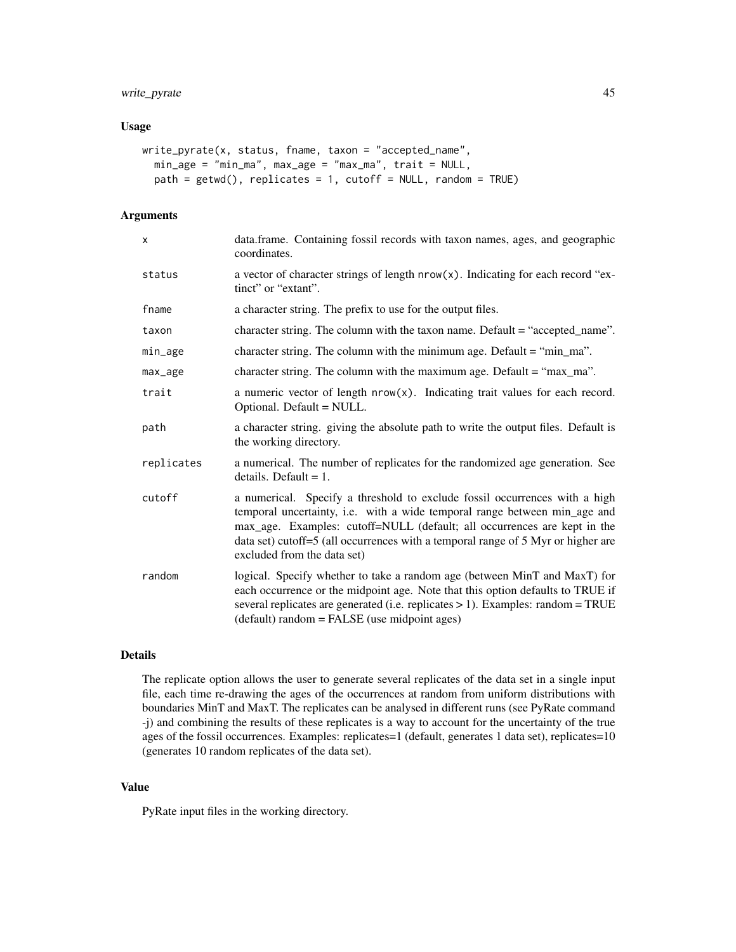# write\_pyrate 45

#### Usage

```
write_pyrate(x, status, fname, taxon = "accepted_name",
 min_age = "min_ma", max_age = "max_ma", trait = NULL,
 path = getwd(), replicates = 1, cutoff = NULL, random = TRUE)
```
# Arguments

| X.         | data.frame. Containing fossil records with taxon names, ages, and geographic<br>coordinates.                                                                                                                                                                                                                                                           |
|------------|--------------------------------------------------------------------------------------------------------------------------------------------------------------------------------------------------------------------------------------------------------------------------------------------------------------------------------------------------------|
| status     | a vector of character strings of length nrow(x). Indicating for each record "ex-<br>tinct" or "extant".                                                                                                                                                                                                                                                |
| fname      | a character string. The prefix to use for the output files.                                                                                                                                                                                                                                                                                            |
| taxon      | character string. The column with the taxon name. Default = "accepted_name".                                                                                                                                                                                                                                                                           |
| min_age    | character string. The column with the minimum age. Default = "min_ma".                                                                                                                                                                                                                                                                                 |
| max_age    | character string. The column with the maximum age. Default $=$ "max_ma".                                                                                                                                                                                                                                                                               |
| trait      | a numeric vector of length $nrow(x)$ . Indicating trait values for each record.<br>Optional. Default = NULL.                                                                                                                                                                                                                                           |
| path       | a character string. giving the absolute path to write the output files. Default is<br>the working directory.                                                                                                                                                                                                                                           |
| replicates | a numerical. The number of replicates for the randomized age generation. See<br>details. Default $= 1$ .                                                                                                                                                                                                                                               |
| cutoff     | a numerical. Specify a threshold to exclude fossil occurrences with a high<br>temporal uncertainty, i.e. with a wide temporal range between min_age and<br>max_age. Examples: cutoff=NULL (default; all occurrences are kept in the<br>data set) cutoff=5 (all occurrences with a temporal range of 5 Myr or higher are<br>excluded from the data set) |
| random     | logical. Specify whether to take a random age (between MinT and MaxT) for<br>each occurrence or the midpoint age. Note that this option defaults to TRUE if<br>several replicates are generated (i.e. replicates $> 1$ ). Examples: random = TRUE<br>(default) random = FALSE (use midpoint ages)                                                      |

# Details

The replicate option allows the user to generate several replicates of the data set in a single input file, each time re-drawing the ages of the occurrences at random from uniform distributions with boundaries MinT and MaxT. The replicates can be analysed in different runs (see PyRate command -j) and combining the results of these replicates is a way to account for the uncertainty of the true ages of the fossil occurrences. Examples: replicates=1 (default, generates 1 data set), replicates=10 (generates 10 random replicates of the data set).

# Value

PyRate input files in the working directory.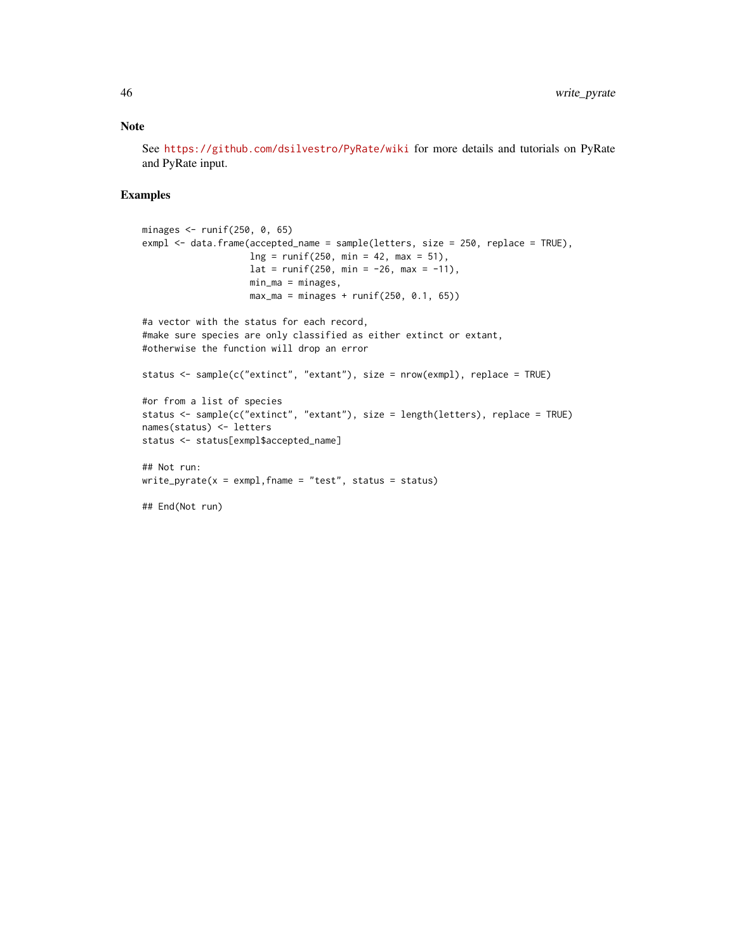See <https://github.com/dsilvestro/PyRate/wiki> for more details and tutorials on PyRate and PyRate input.

```
minages <- runif(250, 0, 65)
exmpl <- data.frame(accepted_name = sample(letters, size = 250, replace = TRUE),
                    ln g = runif(250, min = 42, max = 51),lat = runif(250, min = -26, max = -11),min_ma = minages,
                   max_ma = minages + runif(250, 0.1, 65))
#a vector with the status for each record,
#make sure species are only classified as either extinct or extant,
#otherwise the function will drop an error
status <- sample(c("extinct", "extant"), size = nrow(exmpl), replace = TRUE)
#or from a list of species
status <- sample(c("extinct", "extant"), size = length(letters), replace = TRUE)
names(status) <- letters
status <- status[exmpl$accepted_name]
## Not run:
write\_pyrate(x = example, frame = "test", status = status)## End(Not run)
```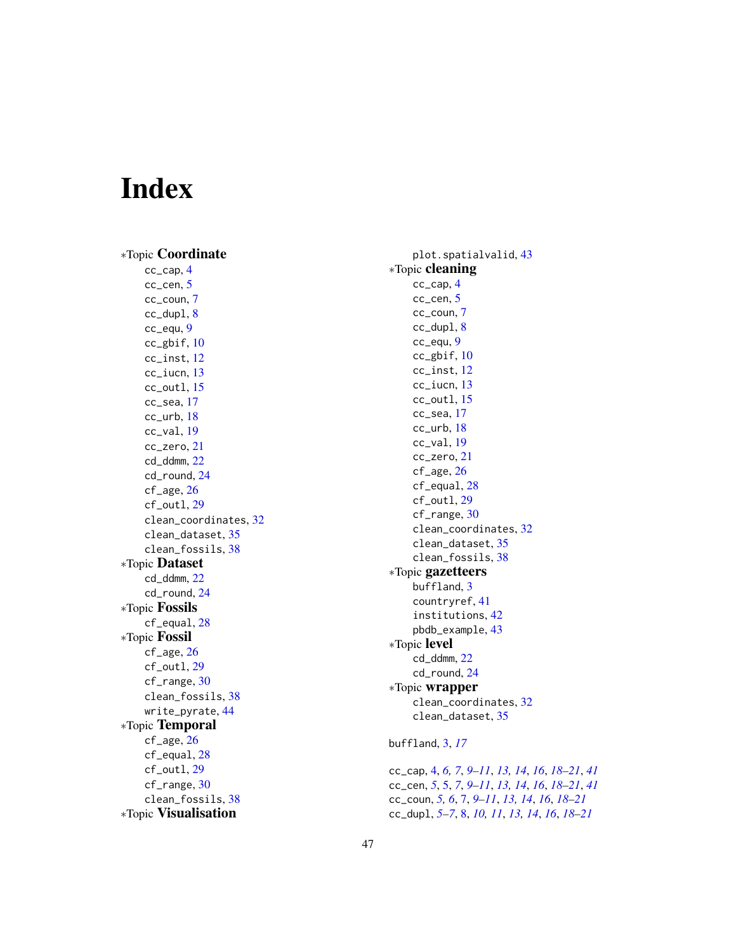# <span id="page-46-0"></span>Index

∗Topic Coordinate cc\_cap , [4](#page-3-0) cc\_cen, [5](#page-4-0) cc\_coun , [7](#page-6-0) cc\_dupl , [8](#page-7-0) cc\_equ , [9](#page-8-0) cc\_gbif , [10](#page-9-0) cc\_inst , [12](#page-11-0) cc\_iucn , [13](#page-12-0) cc\_outl , [15](#page-14-0) cc\_sea , [17](#page-16-0) cc\_urb , [18](#page-17-0) cc\_val , [19](#page-18-0) cc\_zero , [21](#page-20-0) cd\_ddmm , [22](#page-21-0) cd\_round , [24](#page-23-0) cf\_age , [26](#page-25-0) cf\_outl , [29](#page-28-0) clean\_coordinates , [32](#page-31-0) clean\_dataset , [35](#page-34-0) clean\_fossils , [38](#page-37-0) ∗Topic Dataset cd\_ddmm , [22](#page-21-0) cd\_round , [24](#page-23-0) ∗Topic Fossils cf\_equal , [28](#page-27-0) ∗Topic Fossil cf\_age , [26](#page-25-0) cf\_outl , [29](#page-28-0) cf\_range, [30](#page-29-0) clean\_fossils , [38](#page-37-0) write\_pyrate, [44](#page-43-0) ∗Topic Temporal cf\_age , [26](#page-25-0) cf\_equal , [28](#page-27-0) cf\_outl , [29](#page-28-0) cf\_range, [30](#page-29-0) clean\_fossils, [38](#page-37-0) ∗Topic Visualisation

plot.spatialvalid , [43](#page-42-0) ∗Topic cleaning cc\_cap , [4](#page-3-0) cc\_cen, <mark>[5](#page-4-0)</mark> cc\_coun , [7](#page-6-0) cc\_dupl , [8](#page-7-0) cc\_equ , [9](#page-8-0) cc\_gbif , [10](#page-9-0) cc\_inst , [12](#page-11-0) cc\_iucn , [13](#page-12-0) cc\_outl , [15](#page-14-0) cc\_sea , [17](#page-16-0) cc\_urb , [18](#page-17-0) cc\_val , [19](#page-18-0) cc\_zero , [21](#page-20-0) cf\_age , [26](#page-25-0) cf\_equal , [28](#page-27-0) cf\_outl , [29](#page-28-0) cf\_range , [30](#page-29-0) clean\_coordinates , [32](#page-31-0) clean\_dataset , [35](#page-34-0) clean\_fossils , [38](#page-37-0) ∗Topic gazetteers buffland , [3](#page-2-0) countryref , [41](#page-40-0) institutions , [42](#page-41-0) pbdb\_example , [43](#page-42-0) ∗Topic level cd\_ddmm , [22](#page-21-0) cd\_round , [24](#page-23-0) ∗Topic wrapper clean\_coordinates , [32](#page-31-0) clean\_dataset, [35](#page-34-0) buffland , [3](#page-2-0) , *[17](#page-16-0)*

cc\_cap , [4](#page-3-0) , *[6,](#page-5-0) [7](#page-6-0)* , *[9](#page-8-0) [–11](#page-10-0)* , *[13](#page-12-0) , [14](#page-13-0)* , *[16](#page-15-0)* , *[18](#page-17-0) [–21](#page-20-0)* , *[41](#page-40-0)* cc\_cen , *[5](#page-4-0)* , [5](#page-4-0) , *[7](#page-6-0)* , *[9](#page-8-0) [–11](#page-10-0)* , *[13](#page-12-0) , [14](#page-13-0)* , *[16](#page-15-0)* , *[18](#page-17-0) [–21](#page-20-0)* , *[41](#page-40-0)* cc\_coun , *[5](#page-4-0) , [6](#page-5-0)* , [7](#page-6-0) , *[9](#page-8-0) [–11](#page-10-0)* , *[13](#page-12-0) , [14](#page-13-0)* , *[16](#page-15-0)* , *[18](#page-17-0) [–21](#page-20-0)* cc\_dupl , *[5](#page-4-0) – [7](#page-6-0)* , [8](#page-7-0) , *[10](#page-9-0) , [11](#page-10-0)* , *[13](#page-12-0) , [14](#page-13-0)* , *[16](#page-15-0)* , *[18](#page-17-0) [–21](#page-20-0)*